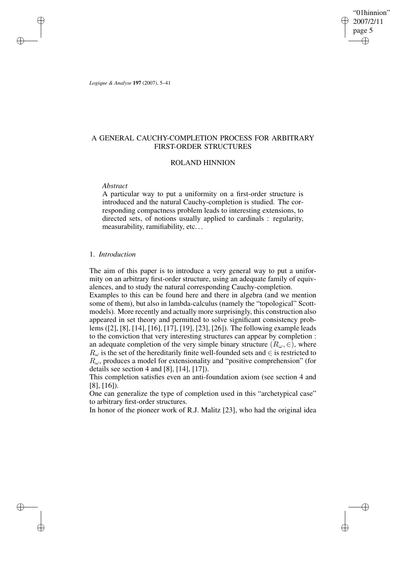"01hinnion" 2007/2/11 page 5 ✐ ✐

✐

✐

*Logique & Analyse* **197** (2007), 5–41

✐

✐

✐

✐

# A GENERAL CAUCHY-COMPLETION PROCESS FOR ARBITRARY FIRST-ORDER STRUCTURES

# ROLAND HINNION

# *Abstract*

A particular way to put a uniformity on a first-order structure is introduced and the natural Cauchy-completion is studied. The corresponding compactness problem leads to interesting extensions, to directed sets, of notions usually applied to cardinals : regularity, measurability, ramifiability, etc...

# 1. *Introduction*

The aim of this paper is to introduce a very general way to put a uniformity on an arbitrary first-order structure, using an adequate family of equivalences, and to study the natural corresponding Cauchy-completion.

Examples to this can be found here and there in algebra (and we mention some of them), but also in lambda-calculus (namely the "topological" Scottmodels). More recently and actually more surprisingly, this construction also appeared in set theory and permitted to solve significant consistency problems ([2], [8], [14], [16], [17], [19], [23], [26]). The following example leads to the conviction that very interesting structures can appear by completion : an adequate completion of the very simple binary structure ( $R_{\omega}$ ,  $\in$ ), where  $R_{\omega}$  is the set of the hereditarily finite well-founded sets and  $\in$  is restricted to  $R_{\omega}$ , produces a model for extensionality and "positive comprehension" (for details see section 4 and [8], [14], [17]).

This completion satisfies even an anti-foundation axiom (see section 4 and [8], [16]).

One can generalize the type of completion used in this "archetypical case" to arbitrary first-order structures.

In honor of the pioneer work of R.J. Malitz [23], who had the original idea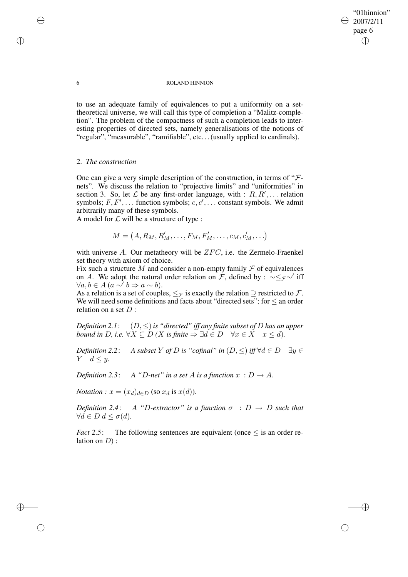"01hinnion" 2007/2/11 page 6 ✐ ✐

✐

✐

#### 6 ROLAND HINNION

to use an adequate family of equivalences to put a uniformity on a settheoretical universe, we will call this type of completion a "Malitz-completion". The problem of the compactness of such a completion leads to interesting properties of directed sets, namely generalisations of the notions of "regular", "measurable", "ramifiable", etc... (usually applied to cardinals).

# 2. *The construction*

One can give a very simple description of the construction, in terms of " $\mathcal{F}$ nets". We discuss the relation to "projective limits" and "uniformities" in section 3. So, let  $\mathcal L$  be any first-order language, with :  $R, R', \ldots$  relation symbols;  $F, F', \ldots$  function symbols;  $c, c', \ldots$  constant symbols. We admit arbitrarily many of these symbols.

A model for  $\mathcal L$  will be a structure of type :

$$
M = (A, R_M, R'_M, \dots, F_M, F'_M, \dots, c_M, c'_M, \dots)
$$

with universe  $A$ . Our metatheory will be  $ZFC$ , i.e. the Zermelo-Fraenkel set theory with axiom of choice.

Fix such a structure M and consider a non-empty family  $\mathcal F$  of equivalences on A. We adopt the natural order relation on  $\mathcal{F}$ , defined by :  $\sim \leq_{\mathcal{F}} \sim$  iff  $\forall a, b \in A \ (a \sim^{\prime} b \Rightarrow a \sim b).$ 

As a relation is a set of couples,  $\leq_{\mathcal{F}}$  is exactly the relation  $\supseteq$  restricted to  $\mathcal{F}$ . We will need some definitions and facts about "directed sets"; for  $\leq$  an order relation on a set  $D$ :

*Definition* 2.1:  $(D, \leq)$  *is* "*directed*" *iff any finite subset of* D *has an upper bound* in D, i.e.  $\forall X \subseteq D$  *(X is finite*  $\Rightarrow \exists d \in D \quad \forall x \in X \quad x \le d$ ).

*Definition* 2.2: *A subset* Y *of* D *is* "*cofinal*" *in*  $(D, \leq)$  *iff*  $\forall d \in D$   $\exists y \in$  $Y \quad d \leq y.$ 

*Definition* 2.3: *A "D-net" in a set A is a function*  $x : D \to A$ .

*Notation* :  $x = (x_d)_{d \in D}$  (so  $x_d$  is  $x(d)$ ).

*Definition* 2.4: *A "D-extractor" is a function*  $\sigma$  :  $D \rightarrow D$  *such that*  $∀d ∈ D d ≤ σ(d).$ 

*Fact* 2.5: The following sentences are equivalent (once  $\leq$  is an order relation on  $D$ ):

✐

✐

✐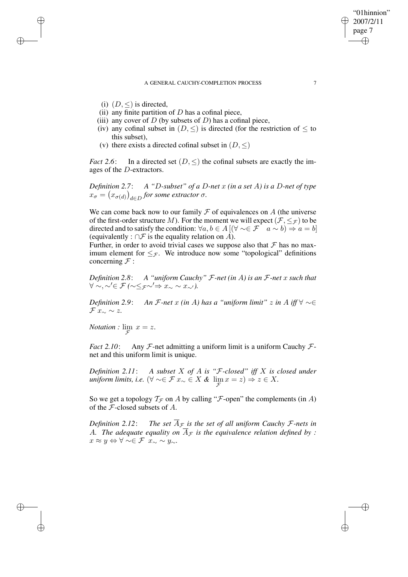#### A GENERAL CAUCHY-COMPLETION PROCESS 7

(i)  $(D, \leq)$  is directed,

✐

✐

✐

✐

- (ii) any finite partition of  $D$  has a cofinal piece,
- (iii) any cover of  $D$  (by subsets of  $D$ ) has a cofinal piece,
- (iv) any cofinal subset in  $(D, \leq)$  is directed (for the restriction of  $\leq$  to this subset),
- (v) there exists a directed cofinal subset in  $(D, \leq)$

*Fact* 2.6: In a directed set  $(D, \leq)$  the cofinal subsets are exactly the images of the D-extractors.

*Definition 2.7*: *A "*D*-subset" of a* D*-net* x *(in a set* A*) is a* D*-net of type*  $x_{\sigma} = (x_{\sigma(d)})_{d \in D}$  for some extractor  $\sigma$ .

We can come back now to our family  $\mathcal F$  of equivalences on  $A$  (the universe of the first-order structure M). For the moment we will expect  $(\mathcal{F}, \leq_{\mathcal{F}})$  to be directed and to satisfy the condition:  $\forall a, b \in A \, [(\forall \sim \in \mathcal{F} \quad a \sim b) \Rightarrow a = b]$ (equivalently :  $\cap \mathcal{F}$  is the equality relation on  $\overrightarrow{A}$ ).

Further, in order to avoid trivial cases we suppose also that  $\mathcal F$  has no maximum element for  $\leq_{\mathcal{F}}$ . We introduce now some "topological" definitions concerning  $\mathcal{F}$  :

*Definition 2.8*: *A "uniform Cauchy"* F*-net (in* A*) is an* F*-net* x *such that* ∀ ∼, ∼0∈ F *(*∼≤F∼0⇒ x<sup>∼</sup> ∼ x∼<sup>0</sup>*).*

*Definition* 2.9: *An*  $\mathcal{F}$ *-net*  $x$  *(in A) has*  $a$  "*uniform limit*"  $z$  *in*  $A$  *iff*  $\forall \sim \in$  $\mathcal{F} x_{\sim} \sim z.$ 

*Notation* :  $\lim_{\mathcal{F}} x = z$ .

*Fact* 2.10: Any  $F$ -net admitting a uniform limit is a uniform Cauchy  $F$ net and this uniform limit is unique.

*Definition 2.11*: *A subset* X *of* A *is "*F*-closed" iff* X *is closed under*  $\textit{uniform limits, i.e.}$   $(\forall \sim \in \mathcal{F} \ x_\sim \in X \ \& \ \lim_{\mathcal{F}} x = z) \Rightarrow z \in X.$ 

So we get a topology  $\mathcal{T}_{\mathcal{F}}$  on A by calling " $\mathcal{F}$ -open" the complements (in A) of the  $F$ -closed subsets of  $A$ .

*Definition* 2.12: *The set*  $\overline{A}_{\mathcal{F}}$  *is the set of all uniform Cauchy*  $\mathcal{F}$ -nets *in* A. The adequate equality on  $\overline{A}_{\mathcal{F}}$  is the equivalence relation defined by :  $x \approx y \Leftrightarrow \forall \sim \in \mathcal{F}$   $x_{\sim} \sim y_{\sim}$ .

"01hinnion" 2007/2/11 page 7

✐

✐

✐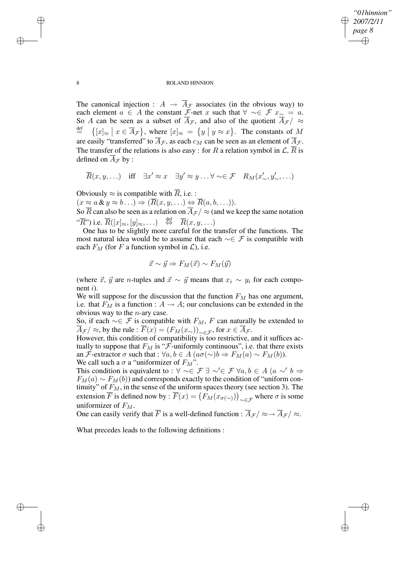✐

### 8 ROLAND HINNION

The canonical injection :  $A \rightarrow \overline{A}_{\mathcal{F}}$  associates (in the obvious way) to each element  $a \in A$  the constant  $\mathcal{F}$ -net x such that  $\forall \sim \in \mathcal{F}$   $x_{\sim} = a$ . So A can be seen as a subset of  $\overline{A}_{\mathcal{F}}$ , and also of the quotient  $\overline{A}_{\mathcal{F}}$  /  $\approx$  $\stackrel{\text{def}}{=}$  $\{ [x]_{\approx} \mid x \in \overline{A}_{\mathcal{F}} \},$  where  $[x]_{\approx} = \{ y \mid y \approx x \}.$  The constants of M are easily "transferred" to  $\overline{A}_{\mathcal{F}}$ , as each  $c_M$  can be seen as an element of  $\overline{A}_{\mathcal{F}}$ . The transfer of the relations is also easy : for R a relation symbol in  $\mathcal{L}, \overline{R}$  is defined on  $\overline{A}_{\mathcal{F}}$  by :

$$
\overline{R}(x, y, \ldots) \quad \text{iff} \quad \exists x' \approx x \quad \exists y' \approx y \ldots \forall \sim \in \mathcal{F} \quad R_M(x'_{\sim}, y'_{\sim}, \ldots)
$$

Obviously  $\approx$  is compatible with  $\overline{R}$ , i.e. :

 $(x \approx a \& y \approx b \ldots) \Rightarrow (\overline{R}(x, y, \ldots)) \Leftrightarrow \overline{R}(a, b, \ldots)).$ 

So  $\overline{R}$  can also be seen as a relation on  $\overline{A}_{\mathcal{F}}$  /  $\approx$  (and we keep the same notation " $\overline{R}$ ") i.e.  $\overline{R}([x]_{\approx}, [y]_{\approx},...) \stackrel{\text{def}}{\Leftrightarrow} \overline{R}(x, y, ...)$ 

One has to be slightly more careful for the transfer of the functions. The most natural idea would be to assume that each  $\sim \in \mathcal{F}$  is compatible with each  $F_M$  (for F a function symbol in  $\mathcal{L}$ ), i.e.

$$
\vec{x} \sim \vec{y} \Rightarrow F_M(\vec{x}) \sim F_M(\vec{y})
$$

(where  $\vec{x}$ ,  $\vec{y}$  are *n*-tuples and  $\vec{x} \sim \vec{y}$  means that  $x_i \sim y_i$  for each component  $i$ ).

We will suppose for the discussion that the function  $F<sub>M</sub>$  has one argument, i.e. that  $F_M$  is a function :  $A \to A$ ; our conclusions can be extended in the obvious way to the  $n$ -ary case.

So, if each  $\sim \in \mathcal{F}$  is compatible with  $F_M$ , F can naturally be extended to  $\overline{A}_{\mathcal{F}}$  / ≈, by the rule :  $\overline{F}(x) = (F_M(x_\sim))_{\sim \in \mathcal{F}}$ , for  $x \in \overline{A}_{\mathcal{F}}$ .

However, this condition of compatibility is too restrictive, and it suffices actually to suppose that  $F_M$  is " $\mathcal F$ -uniformly continuous", i.e. that there exists an *F*-extractor  $\sigma$  such that :  $\forall a, b \in A \ (a\sigma(\sim)b \Rightarrow F_M(a) \sim F_M(b)).$ We call such a  $\sigma$  a "uniformizer of  $F_M$ ".

This condition is equivalent to :  $\forall \sim \in \mathcal{F} \exists \sim' \in \mathcal{F} \forall a, b \in A \ (a \sim' b \Rightarrow$  $F_M(a) \sim F_M(b)$  and corresponds exactly to the condition of "uniform continuity" of  $F_M$ , in the sense of the uniform spaces theory (see section 3). The extension  $\overline{F}$  is defined now by :  $\overline{F}(x) = (F_M(x_{\sigma(\sim)}))_{\sim \in \mathcal{F}}$  where  $\sigma$  is some uniformizer of  $F_M$ .

One can easily verify that  $\overline{F}$  is a well-defined function :  $\overline{A}_{\mathcal{F}}/\approx \rightarrow \overline{A}_{\mathcal{F}}/\approx$ .

What precedes leads to the following definitions :

✐

✐

✐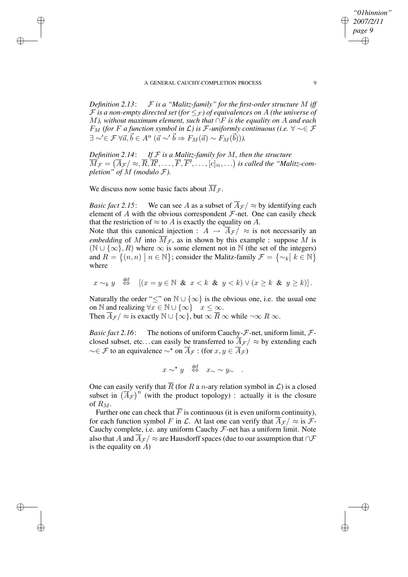*Definition* 2.13:  $F$  *is a "Malitz-family" for the first-order structure* M *iff*  $\mathcal F$  *is a non-empty directed set (for*  $\leq_{\mathcal F}$ ) *of equivalences on* A *(the universe of* M*), without maximum element, such that* ∩F *is the equality on* A *and each F*<sub>*M*</sub> (for *F a* function symbol in  $\mathcal{L}$ ) is *F*-uniformly continuous (i.e.  $\forall$  ∼∈ *F*  $\exists \sim' \in \mathcal{F} \ \forall \vec{a}, \vec{b} \in A^n \ (\vec{a} \sim' \vec{b} \Rightarrow F_M(\vec{a}) \sim F_M(\vec{b})).$ 

*Definition* 2.14: *If*  $F$  *is a Malitz-family for*  $M$ *, then the structure*  $\overline{M}_{\mathcal{F}}=(\overline{A}_{\mathcal{F}}/\approx,\overline{R},\overline{R'},\ldots,\overline{F},\overline{F'},\ldots,[c]_{\approx},\ldots)$  is called the "Malitz-com*pletion*" *of*  $M$  (*modulo*  $\mathcal{F}$ *).* 

We discuss now some basic facts about  $\overline{M}_{\mathcal{F}}$ .

 $d \circ f$ 

✐

✐

✐

✐

*Basic fact* 2.15: We can see A as a subset of  $\overline{A}_{\mathcal{F}}$   $\approx$  by identifying each element of  $A$  with the obvious correspondent  $F$ -net. One can easily check that the restriction of  $\approx$  to A is exactly the equality on A.

Note that this canonical injection :  $A \rightarrow \overline{A}_{\mathcal{F}} / \approx$  is not necessarily an *embedding* of M into  $\overline{M}_{\mathcal{F}}$ , as in shown by this example : suppose M is  $(N \cup {\infty}, R)$  where  $\infty$  is some element not in N (the set of the integers) and  $R = \{(n, n) \mid n \in \mathbb{N}\}$ ; consider the Malitz-family  $\mathcal{F} = \{\sim_k \mid k \in \mathbb{N}\}\$ where

$$
x \sim_k y \quad \stackrel{\text{def}}{\Leftrightarrow} \quad [(x = y \in \mathbb{N} \& x < k \& y < k) \lor (x \geq k \& y \geq k)].
$$

Naturally the order " $\leq$ " on  $\mathbb{N} \cup \{\infty\}$  is the obvious one, i.e. the usual one on N and realizing  $\forall x \in \mathbb{N} \cup \{\infty\}$   $x \leq \infty$ .

Then  $\overline{A}_{\mathcal{F}}$  /  $\approx$  is exactly  $\mathbb{N} \cup \{\infty\}$ , but  $\infty$   $\overline{R}$   $\infty$  while  $\neg \infty$   $R$   $\infty$ .

*Basic fact* 2.16: The notions of uniform Cauchy- $\mathcal{F}$ -net, uniform limit,  $\mathcal{F}$ closed subset, etc...can easily be transferred to  $\overline{A}_{\mathcal{F}}$   $/ \approx$  by extending each  $\sim \in \mathcal{F}$  to an equivalence  $\sim^*$  on  $\overline{A}_{\mathcal{F}}$  : (for  $x, y \in \overline{A}_{\mathcal{F}}$ )

 $x \sim^{\star} y \stackrel{\text{def}}{\Leftrightarrow} x_{\sim} \sim y_{\sim}$ .

One can easily verify that  $\overline{R}$  (for R a n-ary relation symbol in  $\mathcal{L}$ ) is a closed subset in  $(\overline{A}_{\mathcal{F}})^n$  (with the product topology) : actually it is the closure of  $R_M$ .

Further one can check that  $\overline{F}$  is continuous (it is even uniform continuity), for each function symbol F in L. At last one can verify that  $A_{\mathcal{F}}/ \approx$  is F-Cauchy complete, i.e. any uniform Cauchy  $F$ -net has a uniform limit. Note also that A and  $\overline{A}_{\mathcal{F}}$  /  $\approx$  are Hausdorff spaces (due to our assumption that  $\cap \mathcal{F}$ is the equality on  $\overrightarrow{A}$ )

*"01hinnion" 2007/2/11 page 9*

✐

✐

✐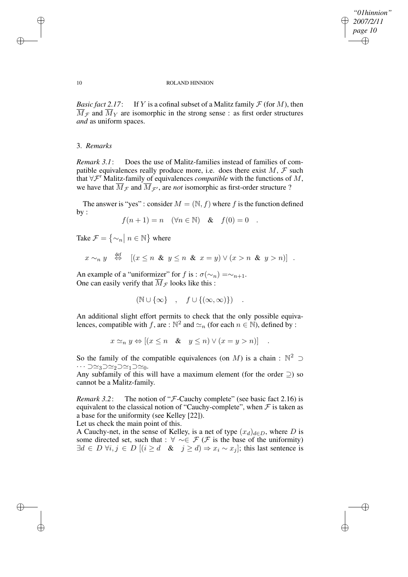✐

## 10 ROLAND HINNION

*Basic fact* 2.17: If Y is a cofinal subset of a Malitz family  $\mathcal F$  (for M), then  $\overline{M}_{\mathcal{F}}$  and  $\overline{M}_{Y}$  are isomorphic in the strong sense : as first order structures *and* as uniform spaces.

# 3. *Remarks*

*Remark 3.1*: Does the use of Malitz-families instead of families of compatible equivalences really produce more, i.e. does there exist  $M, \mathcal{F}$  such that  $\forall \mathcal{F}'$  Malitz-family of equivalences *compatible* with the functions of M, we have that  $\overline{M}_{\mathcal{F}}$  and  $\overline{M}_{\mathcal{F}'}$ , are *not* isomorphic as first-order structure ?

The answer is "yes" : consider  $M = (\mathbb{N}, f)$  where f is the function defined by :

$$
f(n+1) = n \quad (\forall n \in \mathbb{N}) \quad \& \quad f(0) = 0 \quad .
$$

Take  $\mathcal{F} = \{ \sim_n \mid n \in \mathbb{N} \}$  where

$$
x \sim_n y \stackrel{\text{def}}{\Leftrightarrow} [(x \leq n \& y \leq n \& x = y) \vee (x > n \& y > n)]
$$
.

An example of a "uniformizer" for f is :  $\sigma(\sim_n) = \sim_{n+1}$ . One can easily verify that  $\overline{M}_{\mathcal{F}}$  looks like this :

$$
(\mathbb{N}\cup\{\infty\}\quad,\quad f\cup\{(\infty,\infty)\})\quad.
$$

An additional slight effort permits to check that the only possible equivalences, compatible with f, are :  $\mathbb{N}^2$  and  $\simeq_n$  (for each  $n \in \mathbb{N}$ ), defined by :

$$
x \simeq_n y \Leftrightarrow [(x \le n \quad & y \le n) \lor (x = y > n)] \quad .
$$

So the family of the compatible equivalences (on M) is a chain :  $\mathbb{N}^2$   $\supset$  $\cdots$   $\supset \simeq_3 \supset \simeq_2 \supset \simeq_1 \supset \simeq_0.$ 

Any subfamily of this will have a maximum element (for the order  $\supset$ ) so cannot be a Malitz-family.

*Remark* 3.2: The notion of "*F*-Cauchy complete" (see basic fact 2.16) is equivalent to the classical notion of "Cauchy-complete", when  $\mathcal F$  is taken as a base for the uniformity (see Kelley [22]).

Let us check the main point of this.

A Cauchy-net, in the sense of Kelley, is a net of type  $(x_d)_{d\in D}$ , where D is some directed set, such that :  $\forall \sim \in \mathcal{F}(\mathcal{F}$  is the base of the uniformity)  $\exists d \in D \ \forall i, j \in D \ [(i \geq d \ \& \ j \geq d) \Rightarrow x_i \sim x_j];$  this last sentence is

✐

✐

✐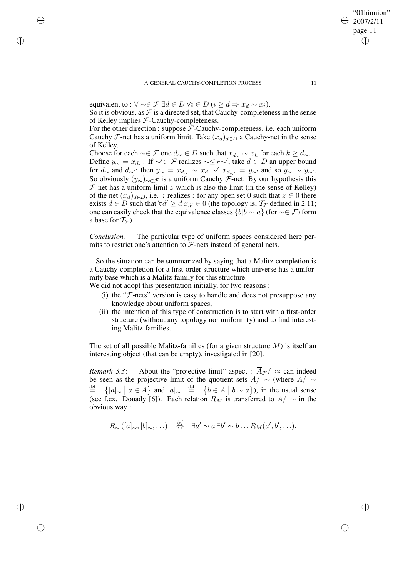## A GENERAL CAUCHY-COMPLETION PROCESS 11

equivalent to :  $\forall \sim \in \mathcal{F} \exists d \in D \forall i \in D \ (i \geq d \Rightarrow x_d \sim x_i).$ 

✐

✐

✐

✐

So it is obvious, as  $\mathcal F$  is a directed set, that Cauchy-completeness in the sense of Kelley implies F-Cauchy-completeness.

For the other direction : suppose  $F$ -Cauchy-completeness, i.e. each uniform Cauchy F-net has a uniform limit. Take  $(x_d)_{d \in D}$  a Cauchy-net in the sense of Kelley.

Choose for each  $\sim \in \mathcal{F}$  one  $d_{\sim} \in D$  such that  $x_{d_{\sim}} \sim x_k$  for each  $k \geq d_{\sim}$ . Define  $y_{\sim} = x_{d_{\sim}}$ . If  $\sim' \in \mathcal{F}$  realizes  $\sim \leq_{\mathcal{F}} \sim'$ , take  $d \in D$  an upper bound for  $d_{\sim}$  and  $d_{\sim}$ ; then  $y_{\sim} = x_{d_{\sim}} \sim x_d \sim x_{d_{\sim}} = y_{\sim}$  and so  $y_{\sim} \sim y_{\sim}$ . So obviously  $(y_\sim)_{\sim \in \mathcal{F}}$  is a uniform Cauchy F-net. By our hypothesis this  $F$ -net has a uniform limit z which is also the limit (in the sense of Kelley) of the net  $(x_d)_{d\in D}$ , i.e. z realizes : for any open set 0 such that  $z \in 0$  there exists  $d \in D$  such that  $\forall d' \geq d$   $x_{d'} \in 0$  (the topology is,  $\mathcal{T}_{\mathcal{F}}$  defined in 2.11; one can easily check that the equivalence classes  $\{b|b \sim a\}$  (for  $\sim \in \mathcal{F}$ ) form a base for  $T_{\mathcal{F}}$ ).

*Conclusion.* The particular type of uniform spaces considered here permits to restrict one's attention to  $\mathcal F$ -nets instead of general nets.

So the situation can be summarized by saying that a Malitz-completion is a Cauchy-completion for a first-order structure which universe has a uniformity base which is a Malitz-family for this structure.

We did not adopt this presentation initially, for two reasons :

- (i) the " $F$ -nets" version is easy to handle and does not presuppose any knowledge about uniform spaces,
- (ii) the intention of this type of construction is to start with a first-order structure (without any topology nor uniformity) and to find interesting Malitz-families.

The set of all possible Malitz-families (for a given structure  $M$ ) is itself an interesting object (that can be empty), investigated in [20].

*Remark* 3.3: About the "projective limit" aspect :  $\overline{A}_{\mathcal{F}}$   $\sim$  can indeed be seen as the projective limit of the quotient sets  $A/\sim$  (where  $A/\sim$  $\overset{\text{def}}{=}$  $\{ [a]_{\sim} \mid a \in A \}$  and  $[a]_{\sim} \stackrel{\text{def}}{=} \{ b \in A \mid b \sim a \}$ ), in the usual sense (see f.ex. Douady [6]). Each relation  $R_M$  is transferred to  $A/\sim$  in the obvious way :

$$
R_{\sim}([a]_{\sim}, [b]_{\sim}, \ldots) \quad \stackrel{\text{def}}{\Leftrightarrow} \quad \exists a' \sim a \ \exists b' \sim b \ldots R_M(a', b', \ldots).
$$

"01hinnion" 2007/2/11 page 11

✐

✐

✐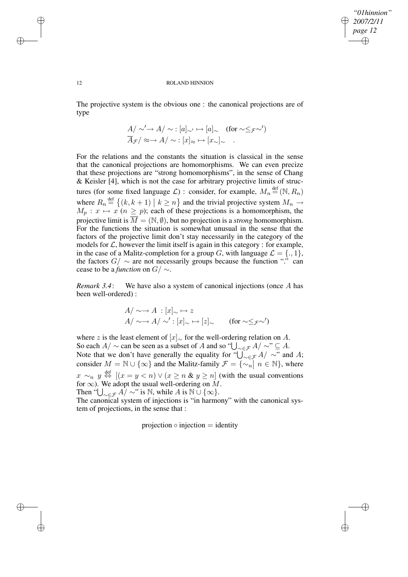✐

#### 12 ROLAND HINNION

The projective system is the obvious one : the canonical projections are of type

$$
A/\sim' \to A/\sim : [a]_{\sim'} \mapsto [a]_{\sim} \quad \text{(for } \sim \leq_{\mathcal{F}} \sim'
$$
  

$$
\overline{A}_{\mathcal{F}}/\approx \to A/\sim : [x]_{\approx} \mapsto [x_{\sim}]_{\sim} \quad .
$$

For the relations and the constants the situation is classical in the sense that the canonical projections are homomorphisms. We can even precize that these projections are "strong homomorphisms", in the sense of Chang & Keisler [4], which is not the case for arbitrary projective limits of structures (for some fixed language  $\mathcal{L}$ ) : consider, for example,  $M_n \stackrel{\text{def}}{=} (\mathbb{N}, R_n)$ where  $R_n \stackrel{\text{def}}{=} \{ (k, k+1) \mid k \geq n \}$  and the trivial projective system  $M_n \rightarrow M$  $M_p: x \mapsto x \ (n \geq p)$ ; each of these projections is a homomorphism, the projective limit is  $\overline{M} = (\mathbb{N}, \emptyset)$ , but no projection is a *strong* homomorphism. For the functions the situation is somewhat unusual in the sense that the factors of the projective limit don't stay necessarily in the category of the models for  $\mathcal{L}$ , however the limit itself is again in this category : for example, in the case of a Malitz-completion for a group G, with language  $\mathcal{L} = \{., 1\},\$ the factors  $G / \sim$  are not necessarily groups because the function "." can cease to be a *function* on G/ ∼.

*Remark 3.4*: We have also a system of canonical injections (once A has been well-ordered) :

$$
A/\sim \to A : [x]_{\sim} \to z
$$
  
 
$$
A/\sim \to A/\sim': [x]_{\sim} \to [z]_{\sim} \qquad \text{(for } \sim \leq_{\mathcal{F}} \sim'
$$

where z is the least element of  $[x]_{\sim}$  for the well-ordering relation on A. So each  $A/\sim$  can be seen as a subset of A and so " $\bigcup_{\sim\in\mathcal{F}}A/\sim$ "  $\subseteq A$ . Note that we don't have generally the equality for " $\bigcup_{\sim \in \mathcal{F}} A/\sim$ " and A; consider  $M = \mathbb{N} \cup \{\infty\}$  and the Malitz-family  $\mathcal{F} = \{\infty, n \mid n \in \mathbb{N}\}\)$ , where  $x \sim_n y \stackrel{\text{def}}{\Leftrightarrow} [(x = y < n) \vee (x \ge n \& y \ge n)]$  (with the usual conventions for  $\infty$ ). We adopt the usual well-ordering on M. Then " $\bigcup_{\substack{\sim \in \mathcal{F}}} A$ /  $\sim$ " is  $\mathbb N$ , while A is  $\mathbb N \cup \{\infty\}$ .

The canonical system of injections is "in harmony" with the canonical system of projections, in the sense that :

projection  $\circ$  injection  $=$  identity

✐

✐

✐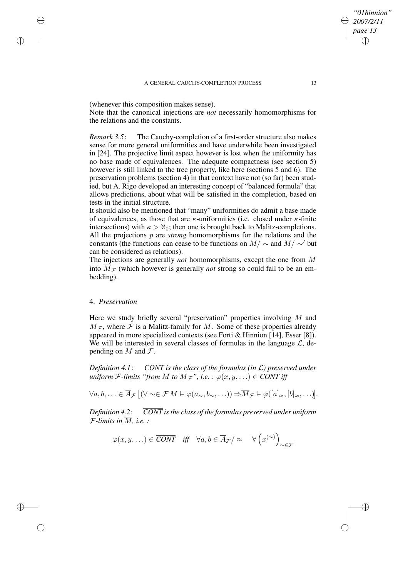(whenever this composition makes sense).

Note that the canonical injections are *not* necessarily homomorphisms for the relations and the constants.

*Remark 3.5*: The Cauchy-completion of a first-order structure also makes sense for more general uniformities and have underwhile been investigated in [24]. The projective limit aspect however is lost when the uniformity has no base made of equivalences. The adequate compactness (see section 5) however is still linked to the tree property, like here (sections 5 and 6). The preservation problems (section 4) in that context have not (so far) been studied, but A. Rigo developed an interesting concept of "balanced formula" that allows predictions, about what will be satisfied in the completion, based on tests in the initial structure.

It should also be mentioned that "many" uniformities do admit a base made of equivalences, as those that are  $\kappa$ -uniformities (i.e. closed under  $\kappa$ -finite intersections) with  $\kappa > \aleph_0$ ; then one is brought back to Malitz-completions. All the projections p are *strong* homomorphisms for the relations and the constants (the functions can cease to be functions on  $M/\sim$  and  $M/\sim'$  but can be considered as relations).

The injections are generally *not* homomorphisms, except the one from M into  $\overline{M}_{\mathcal{F}}$  (which however is generally *not* strong so could fail to be an embedding).

# 4. *Preservation*

✐

✐

✐

✐

Here we study briefly several "preservation" properties involving  $M$  and  $\overline{M}_{\mathcal{F}}$ , where  $\mathcal F$  is a Malitz-family for M. Some of these properties already appeared in more specialized contexts (see Forti & Hinnion [14], Esser [8]). We will be interested in several classes of formulas in the language  $\mathcal{L}$ , depending on M and  $\mathcal{F}$ .

*Definition 4.1*: *CONT is the class of the formulas (in* L*) preserved under uniform*  $\mathcal{F}\text{-}limits$  *"from*  $M$  *to*  $\overline{M}_{\mathcal{F}}$ ", *i.e. :*  $\varphi(x, y, \ldots) \in \mathcal{C}ONT$  *iff* 

$$
\forall a, b, \ldots \in \overline{A}_{\mathcal{F}} \left[ (\forall \sim \in \mathcal{F} M \vDash \varphi(a_{\sim}, b_{\sim}, \ldots)) \Rightarrow \overline{M}_{\mathcal{F}} \vDash \varphi([a]_{\approx}, [b]_{\approx}, \ldots) \right].
$$

*Definition 4.2*: *CONT isthe class of the formulas preserved under uniform F*-limits in  $\overline{M}$ , i.e.:

$$
\varphi(x, y, \ldots) \in \overline{CONT}
$$
 iff  $\forall a, b \in \overline{A}_{\mathcal{F}}/\approx \forall (x^{(\sim)})_{\sim \in \mathcal{F}}$ 

*"01hinnion" 2007/2/11 page 13*

✐

✐

✐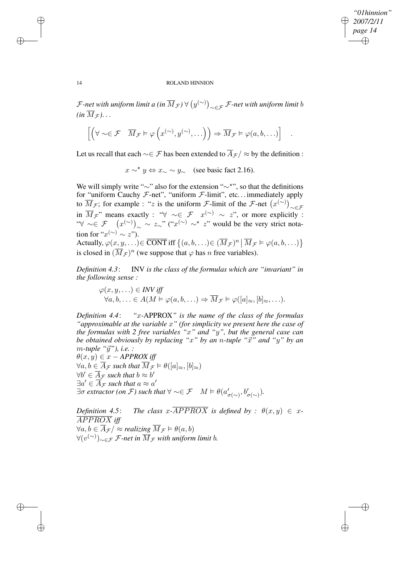*"01hinnion" 2007/2/11 page 14* ✐ ✐

.

✐

✐

# 14 ROLAND HINNION

 ${\cal F}$ -net with uniform limit a (in  $\overline{M}_{\cal F})$   $\forall\left(y^{(\sim)}\right)_{\sim\in{\cal F}}{\cal F}$ -net with uniform limit  $b$  $(in \overline{M}_{\mathcal{F}})$ ...

$$
\left[ \left( \forall \sim \in \mathcal{F} \quad \overline{M}_{\mathcal{F}} \models \varphi \left( x^{(\sim)}, y^{(\sim)}, \ldots \right) \right) \Rightarrow \overline{M}_{\mathcal{F}} \models \varphi(a, b, \ldots) \right]
$$

Let us recall that each  $\sim \in \mathcal{F}$  has been extended to  $\overline{A}_{\mathcal{F}}$  /  $\approx$  by the definition :

 $x \sim^* y \Leftrightarrow x \sim y \sim$  (see basic fact 2.16).

We will simply write "∼" also for the extension "∼\*", so that the definitions for "uniform Cauchy  $F$ -net", "uniform  $F$ -limit", etc... immediately apply to  $\overline{M}_{\mathcal{F}}$ ; for example : "z is the uniform *F*-limit of the *F*-net  $(x^{(\sim)})_{\sim \in \mathcal{F}}$ in  $\overline{M}_{\mathcal{F}}$ " means exactly : " $\forall \sim \in \mathcal{F}$   $x^{(\sim)} \sim z$ ", or more explicitly : " $\forall \sim \in \mathcal{F}$   $(x^{(\sim)})_{\sim} \sim z_{\sim}$ " (" $x^{(\sim)} \sim^{\star} z$ " would be the very strict notation for " $x^{(\sim)} \sim z$ "). Actually,  $\varphi(x, y, \ldots) \in \overline{\text{CONT}}$  iff  $\{(a, b, \ldots) \in (\overline{M}_{\mathcal{F}})^n | \overline{M}_{\mathcal{F}} \models \varphi(a, b, \ldots)\}\$ 

is closed in  $(\overline{M}_{\mathcal{F}})^n$  (we suppose that  $\varphi$  has n free variables).

*Definition 4.3*: INV *is the class of the formulas which are "invariant" in the following sense :*

$$
\varphi(x, y, \ldots) \in \text{INV iff}
$$
  
\n
$$
\forall a, b, \ldots \in A(M \models \varphi(a, b, \ldots) \Rightarrow \overline{M}_{\mathcal{F}} \models \varphi([a]_{\approx}, [b]_{\approx}, \ldots).
$$

*Definition 4.4*: *"*x*-*APPROX*" is the name of the class of the formulas "approximable at the variable* x*" (for simplicity we present here the case of the formulas with 2 free variables "*x*" and "*y*", but the general case can be obtained obviously by replacing*  $x^*$  *by an n*-tuple  $x^*$  *and*  $y^*$  *by an* m*-tuple "*~y*"), i.e. :*  $\theta(x, y) \in x - APPROX$  *iff* 

 $\forall a, b \in \overline{A}_{\mathcal{F}} \text{ such that } \overline{M}_{\mathcal{F}} \models \theta([a]_{\approx}, [b]_{\approx})$  $\forall b' \in \overline{A}_{\mathcal{F}}$  such that  $b \approx b'$  $\exists a' \in \overline{A}_{\mathcal{F}}$  such that  $a \approx a'$  $\exists \sigma \text{ extractor (on } \mathcal{F}) \text{ such that } \forall \sim \in \mathcal{F} \quad M \models \theta(a'_{\sigma(\sim)}, b'_{\sigma(\sim)}).$ 

*Definition* 4.5: *The class*  $x$ -APPROX *is defined by*  $: \theta(x, y) \in x$ -APPROX *iff*  $\forall a, b \in \overline{A}_{\mathcal{F}} \neq \emptyset$  *realizing*  $\overline{M}_{\mathcal{F}} \models \theta(a, b)$ ∀(v (∼) )∼∈F F*-net in* MF *with uniform limit* b*.*

✐

✐

✐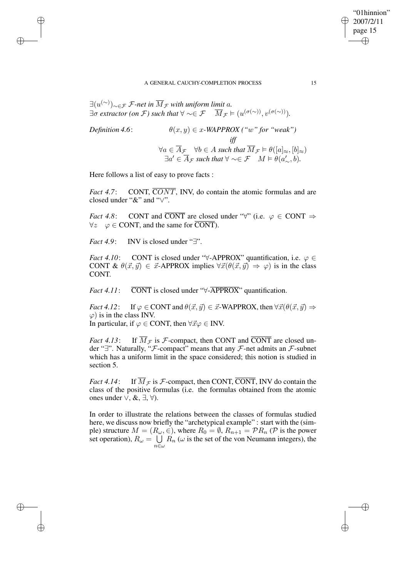#### A GENERAL CAUCHY-COMPLETION PROCESS 15

 $\exists (u^{(\sim)})_{\sim\in\mathcal{F}}$  *F*-net in  $\overline{M}_{\mathcal{F}}$  with uniform limit a.  $\exists \sigma \text{ extractor (on } \mathcal{F}) \text{ such that } \forall \sim \in \mathcal{F} \quad \overline{M}_{\mathcal{F}} \models (u^{(\sigma(\sim))}, v^{(\sigma(\sim))}).$ 

**Definition 4.6:**

\n
$$
\theta(x, y) \in x\text{-}WAPPROX ("w" for "weak")
$$
\niff

\n
$$
\forall a \in \overline{A}_{\mathcal{F}} \quad \forall b \in A \text{ such that } \overline{M}_{\mathcal{F}} \models \theta([a]_{\approx}, [b]_{\approx})
$$
\n
$$
\exists a' \in \overline{A}_{\mathcal{F}} \text{ such that } \forall \sim \in \mathcal{F} \quad M \models \theta(a'_{\sim}, b).
$$

Here follows a list of easy to prove facts :

✐

✐

✐

✐

*Fact* 4.7: CONT,  $\overline{CONT}$ , INV, do contain the atomic formulas and are closed under "&" and "∨".

*Fact* 4.8: CONT and CONT are closed under " $\forall$ " (i.e.  $\varphi \in \text{CONT} \Rightarrow$  $\forall z \quad \varphi \in \text{CONT}$ , and the same for  $\overline{\text{CONT}}$ ).

*Fact 4.9*: INV is closed under "∃".

*Fact* 4.10: CONT is closed under " $\forall$ -APPROX" quantification, i.e.  $\varphi \in$ CONT &  $\theta(\vec{x}, \vec{y}) \in \vec{x}$ -APPROX implies  $\forall \vec{x}(\theta(\vec{x}, \vec{y}) \Rightarrow \varphi)$  is in the class CONT.

*Fact*  $4.11:$  CONT is closed under " $\forall$ -APPROX" quantification.

*Fact* 4.12: If  $\varphi \in \text{CONT}$  and  $\theta(\vec{x}, \vec{y}) \in \vec{x}$ -WAPPROX, then  $\forall \vec{x}(\theta(\vec{x}, \vec{y}) \Rightarrow$  $\varphi$ ) is in the class INV. In particular, if  $\varphi \in \text{CONT}$ , then  $\forall \vec{x} \varphi \in \text{INV}$ .

*Fact* 4.13: If  $\overline{M}_{\mathcal{F}}$  is  $\mathcal{F}$ -compact, then CONT and  $\overline{CONT}$  are closed under "∃". Naturally, "F-compact" means that any F-net admits an F-subnet which has a uniform limit in the space considered; this notion is studied in section 5.

*Fact* 4.14: If  $\overline{M}_{\mathcal{F}}$  is  $\mathcal{F}$ -compact, then CONT, CONT, INV do contain the class of the positive formulas (i.e. the formulas obtained from the atomic ones under ∨, &, ∃, ∀).

In order to illustrate the relations between the classes of formulas studied here, we discuss now briefly the "archetypical example" : start with the (simple) structure  $M = (R_{\omega}, \in)$ , where  $R_0 = \emptyset$ ,  $R_{n+1} = \mathcal{P}R_n$  ( $\mathcal{P}$  is the power set operation),  $R_{\omega} = \cup$  $\bigcup_{n \in \omega} R_n$  ( $\omega$  is the set of the von Neumann integers), the

"01hinnion" 2007/2/11 page 15

✐

✐

✐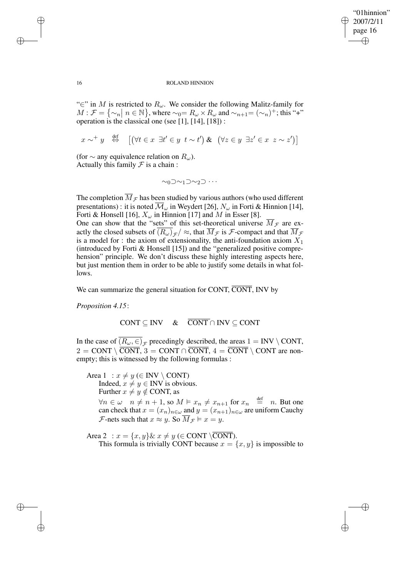✐

### 16 ROLAND HINNION

"∈" in M is restricted to  $R_{\omega}$ . We consider the following Malitz-family for  $M: \mathcal{F} = {\lbrace \sim_n \mid n \in \mathbb{N} \rbrace}$ , where  $\sim_0 = R_\omega \times R_\omega$  and  $\sim_{n+1} = (\sim_n)^+$ ; this "+" operation is the classical one (see [1], [14], [18]) :

$$
x \sim^+ y \quad \stackrel{\text{def}}{\Leftrightarrow} \quad \left[ \left( \forall t \in x \ \exists t' \in y \ t \sim t' \right) \& \left( \forall z \in y \ \exists z' \in x \ z \sim z' \right) \right]
$$

(for  $\sim$  any equivalence relation on  $R_{\omega}$ ). Actually this family  $\mathcal F$  is a chain :

$$
\sim_0\supset\sim_1\supset\sim_2\supset\cdots
$$

The completion  $\overline{M}_{\mathcal{F}}$  has been studied by various authors (who used different presentations) : it is noted  $\overline{\mathcal{M}}_{\omega}$  in Weydert [26],  $N_{\omega}$  in Forti & Hinnion [14], Forti & Honsell [16],  $X_{\omega}$  in Hinnion [17] and M in Esser [8]. One can show that the "sets" of this set-theoretical universe  $\overline{M}_{\mathcal{F}}$  are exactly the closed subsets of  $(R_\omega)_{\cal F}/\approx$ , that  $M_{\cal F}$  is  ${\cal F}$ -compact and that  $M_{\cal F}$ is a model for : the axiom of extensionality, the anti-foundation axiom  $X_1$ (introduced by Forti & Honsell [15]) and the "generalized positive comprehension" principle. We don't discuss these highly interesting aspects here, but just mention them in order to be able to justify some details in what follows.

We can summarize the general situation for CONT,  $\overline{CONT}$ , INV by

*Proposition 4.15*:

$$
CONT \subseteq INV \quad & \quad \overline{CONT} \cap INV \subseteq CONT
$$

In the case of  $(R_\omega, \in)_{\mathcal{F}}$  precedingly described, the areas  $1 = \text{INV} \setminus \text{CONT}$ ,  $2 = \text{CONT} \setminus \overline{\text{CONT}}$ ,  $3 = \text{CONT} \cap \overline{\text{CONT}}$ ,  $4 = \overline{\text{CONT}} \setminus \text{CONT}$  are nonempty; this is witnessed by the following formulas :

Area  $1 : x \neq y \in INV \setminus CONT$ Indeed,  $x \neq y \in \text{INV}$  is obvious. Further  $x \neq y \notin$  CONT, as  $\forall n \in \omega \quad n \neq n+1$ , so  $M \vDash x_n \neq x_{n+1}$  for  $x_n \stackrel{\text{def}}{=} n$ . But one can check that  $x = (x_n)_{n \in \omega}$  and  $y = (x_{n+1})_{n \in \omega}$  are uniform Cauchy F-nets such that  $x \approx y$ . So  $\overline{M}_{\mathcal{F}} \models x = y$ .

Area 2 :  $x = \{x, y\} \& x \neq y \in \text{CONT} \setminus \overline{\text{CONT}}$ . This formula is trivially CONT because  $x = \{x, y\}$  is impossible to

✐

✐

✐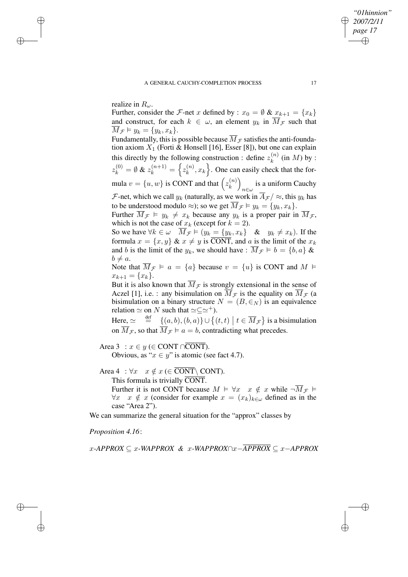realize in  $R_{\omega}$ .

✐

✐

✐

✐

Further, consider the F-net x defined by :  $x_0 = \emptyset \& x_{k+1} = \{x_k\}$ and construct, for each  $k \in \omega$ , an element  $y_k$  in  $\overline{M}_{\mathcal{F}}$  such that  $\overline{M}_{\mathcal{F}} \models y_k = \{y_k, x_k\}.$ 

Fundamentally, this is possible because  $\overline{M}_{\mathcal{F}}$  satisfies the anti-foundation axiom  $X_1$  (Forti & Honsell [16], Esser [8]), but one can explain this directly by the following construction : define  $z_k^{(n)}$  $\binom{n}{k}$  (in M) by :  $z_k^{(0)} = \emptyset \& z_k^{(n+1)} = \left\{ z_k^{(n)} \right\}$  $\{k^{(n)}, x_k\}$ . One can easily check that the formula  $v = \{u, w\}$  is CONT and that  $\left(z_k^{(n)}\right)$  $\genfrac(){0cm}{0}{(n)}{k}$ is a uniform Cauchy<br> $n \in \omega$ F-net, which we call  $y_k$  (naturally, as we work in  $\overline{A}_{\mathcal{F}}/\approx$ , this  $y_k$  has to be understood modulo  $\approx$ ); so we get  $\overline{M}_{\mathcal{F}} \models y_k = \{y_k, x_k\}.$ 

Further  $\overline{M}_{\mathcal{F}} \models y_k \neq x_k$  because any  $y_k$  is a proper pair in  $\overline{M}_{\mathcal{F}}$ , which is not the case of  $x_k$  (except for  $k = 2$ ).

So we have  $\forall k \in \omega \quad \overline{M}_{\mathcal{F}} \models (y_k = \{y_k, x_k\} \quad \& \quad y_k \neq x_k)$ . If the formula  $x = \{x, y\}$  &  $x \neq y$  is CONT, and a is the limit of the  $x_k$ and b is the limit of the  $y_k$ , we should have :  $\overline{M}_{\mathcal{F}} \models b = \{b, a\} \&$  $b \neq a$ .

Note that  $\overline{M}_{\mathcal{F}} \models a = \{a\}$  because  $v = \{u\}$  is CONT and  $M \models$  $x_{k+1} = \{x_k\}.$ 

But it is also known that  $M_f$  is strongly extensional in the sense of Aczel [1], i.e. : any bisimulation on  $M_{\mathcal{F}}$  is the equality on  $M_{\mathcal{F}}$  (a bisimulation on a binary structure  $N = (B, \in_N)$  is an equivalence relation  $\simeq$  on N such that  $\simeq \subseteq \simeq^+$ ).

Here,  $\simeq \frac{\text{def}}{\sqrt{a}} \frac{\{(a,b),(b,a)\}\cup \{(t,t) \mid t \in \overline{M}_{\mathcal{F}}\}}$  is a bisimulation on  $\overline{M}_{\mathcal{F}}$ , so that  $\overline{M}_{\mathcal{F}} \models a = b$ , contradicting what precedes.

Area 3 :  $x \in y$  (∈ CONT ∩CONT). Obvious, as " $x \in y$ " is atomic (see fact 4.7).

Area 4 :  $\forall x \ x \notin x \in \overline{CONT} \setminus \text{CONT}$ . This formula is trivially CONT. Further it is not CONT because  $M \models \forall x \ x \notin x$  while  $\neg \overline{M}_{\mathcal{F}} \models$  $\forall x \ x \notin x$  (consider for example  $x = (x_k)_{k \in \omega}$  defined as in the case "Area 2").

We can summarize the general situation for the "approx" classes by

*Proposition 4.16*:

x*-APPROX* ⊆ x*-WAPPROX &* x*-WAPPROX*∩x−*APPROX* ⊆ x−*APPROX*

*"01hinnion" 2007/2/11 page 17*

✐

✐

✐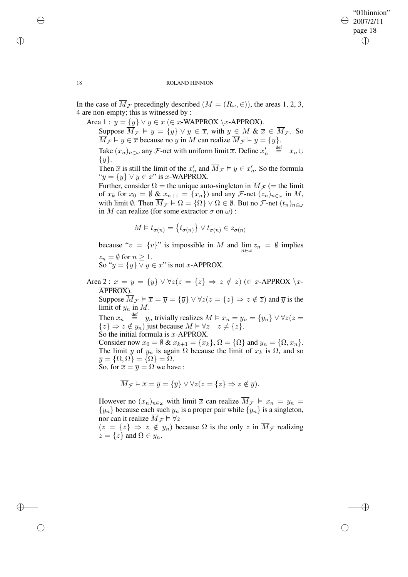✐

### 18 ROLAND HINNION

In the case of  $\overline{M}_{\mathcal{F}}$  precedingly described  $(M = (R_{\omega}, \in))$ , the areas 1, 2, 3, 4 are non-empty; this is witnessed by :

Area 1 :  $y = \{y\} \lor y \in x \in x$ -WAPPROX \x-APPROX).

Suppose  $\overline{M}_{\mathcal{F}} \models y = \{y\} \vee y \in \overline{x}$ , with  $y \in M \& \overline{x} \in \overline{M}_{\mathcal{F}}$ . So  $\overline{M}_{\mathcal{F}} \models y \in \overline{x}$  because no y in M can realize  $\overline{M}_{\mathcal{F}} \models y = \{y\}.$ 

Take  $(x_n)_{n \in \omega}$  any F-net with uniform limit  $\overline{x}$ . Define  $x'_n \stackrel{\text{def}}{=} x_n \cup$  $\{y\}.$ 

Then  $\bar{x}$  is still the limit of the  $x'_n$  and  $\bar{M}_{\mathcal{F}} \models y \in x'_n$ . So the formula " $y = \{y\} \vee y \in x$ " is x-WAPPROX.

Further, consider  $\Omega$  = the unique auto-singleton in  $\overline{M}_{\mathcal{F}}$  (= the limit of  $x_k$  for  $x_0 = \emptyset$  &  $x_{n+1} = \{x_n\}$  and any F-net  $(z_n)_{n \in \omega}$  in M, with limit  $\emptyset$ . Then  $\overline{M}_{\mathcal{F}} \models \Omega = \{\Omega\} \vee \Omega \in \emptyset$ . But no  $\mathcal{F}\text{-net}(t_n)_{n \in \omega}$ in M can realize (for some extractor  $\sigma$  on  $\omega$ ):

$$
M \vDash t_{\sigma(n)} = \left\{ t_{\sigma(n)} \right\} \vee t_{\sigma(n)} \in z_{\sigma(n)}
$$

because " $v = \{v\}$ " is impossible in M and  $\lim_{n \in \omega} z_n = \emptyset$  implies  $z_n = \emptyset$  for  $n \geq 1$ .

So " $y = \{y\} \vee y \in x$ " is not x-APPROX.

Area 2 :  $x = y = \{y\} \vee \forall z (z = \{z\} \Rightarrow z \notin z)$  ( $\in x$ -APPROX  $\setminus x$ -APPROX). Suppose  $\overline{M}_{\mathcal{F}} \vDash \overline{x} = \overline{y} = {\overline{y}} \vee \forall z (z = {z} \Rightarrow z \notin \overline{z})$  and  $\overline{y}$  is the limit of  $y_n$  in  $M$ . Then  $x_n \stackrel{\text{def}}{=} y_n$  trivially realizes  $M \vDash x_n = y_n = \{y_n\} \vee \forall z (z =$  ${z} \Rightarrow z \notin y_n$ ) just because  $M \vDash \forall z \quad z \neq \{z\}.$ So the initial formula is  $x$ -APPROX. Consider now  $x_0 = \emptyset \& x_{k+1} = \{x_k\}, \Omega = \{\Omega\}$  and  $y_n = \{\Omega, x_n\}.$ The limit  $\overline{y}$  of  $y_n$  is again  $\Omega$  because the limit of  $x_k$  is  $\Omega$ , and so  $\overline{y} = {\Omega, \Omega} = {\Omega} = \overline{\Omega}.$ So, for  $\overline{x} = \overline{y} = \Omega$  we have :

$$
\overline{M}_{\mathcal{F}} \vDash \overline{x} = \overline{y} = \{\overline{y}\} \vee \forall z (z = \{z\} \Rightarrow z \notin \overline{y}).
$$

However no  $(x_n)_{n \in \omega}$  with limit  $\overline{x}$  can realize  $\overline{M}_{\mathcal{F}} \models x_n = y_n =$  ${y_n}$  because each such  $y_n$  is a proper pair while  ${y_n}$  is a singleton, nor can it realize  $\overline{M}_{\mathcal{F}} \models \forall z$ 

 $(z = \{z\} \Rightarrow z \notin y_n)$  because  $\Omega$  is the only z in  $\overline{M}_{\mathcal{F}}$  realizing  $z = \{z\}$  and  $\Omega \in y_n$ .

✐

✐

✐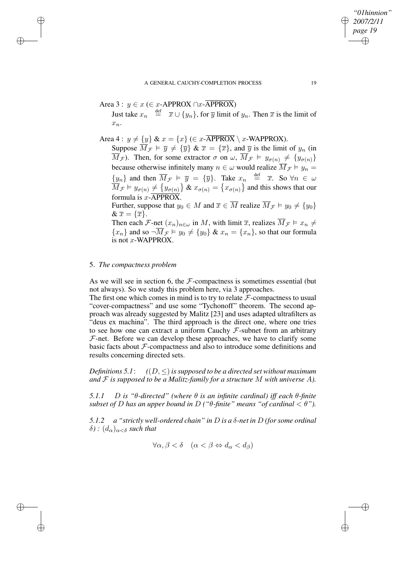$$
Area 3: y \in x (\in x - APPROX \cap x - APPROX)
$$

Just take  $x_n \stackrel{\text{def}}{=} \overline{x} \cup \{y_n\}$ , for  $\overline{y}$  limit of  $y_n$ . Then  $\overline{x}$  is the limit of  $x_n$ .

Area 4 :  $y \neq \{y\}$  &  $x = \{x\}$  ( $\in x$ -APPROX),  $x$ -WAPPROX).

Suppose  $\overline{M}_{\mathcal{F}} \models \overline{y} \neq {\overline{y}} \& \overline{x} = {\overline{x}}$ , and  $\overline{y}$  is the limit of  $y_n$  (in  $\overline{M}_{\mathcal{F}}$ ). Then, for some extractor  $\sigma$  on  $\omega$ ,  $\overline{M}_{\mathcal{F}} \models y_{\sigma(n)} \neq \{y_{\sigma(n)}\}$ because otherwise infinitely many  $n \in \omega$  would realize  $\overline{M}_{\mathcal{F}} \models y_n =$  $\{y_n\}$  and then  $\overline{M}_{\mathcal{F}} \models \overline{y} = \{\overline{y}\}\$ . Take  $x_n \stackrel{\text{def}}{=} \overline{x}$ . So  $\forall n \in \omega$  $\overline{\dot{M}}_{\mathcal{F}} \vDash y_{\sigma(n)} \neq \{y_{\sigma(n)}\}$  &  $x_{\sigma(n)} = \{x_{\sigma(n)}\}$  and this shows that our formula is  $x$ -APPROX. Further, suppose that  $y_0 \in M$  and  $\overline{x} \in \overline{M}$  realize  $\overline{M}_{\mathcal{F}} \models y_0 \neq \{y_0\}$  $\& \overline{x} = {\overline{x}}.$ 

Then each F-net  $(x_n)_{n \in \omega}$  in M, with limit  $\overline{x}$ , realizes  $\overline{M}_{\mathcal{F}} \models x_n \neq$  ${x_n}$  and so  $\neg \overline{M}_{\mathcal{F}} \models y_0 \neq {y_0} \& x_n = {x_n}$ , so that our formula is not x-WAPPROX.

# 5. *The compactness problem*

✐

✐

✐

✐

As we will see in section 6, the  $F$ -compactness is sometimes essential (but not always). So we study this problem here, via 3 approaches.

The first one which comes in mind is to try to relate  $\mathcal{F}$ -compactness to usual "cover-compactness" and use some "Tychonoff" theorem. The second approach was already suggested by Malitz [23] and uses adapted ultrafilters as "deus ex machina". The third approach is the direct one, where one tries to see how one can extract a uniform Cauchy  $F$ -subnet from an arbitrary  $F$ -net. Before we can develop these approaches, we have to clarify some basic facts about  $F$ -compactness and also to introduce some definitions and results concerning directed sets.

*Definitions* 5.1:  $((D, \leq)$  *is supposed to be a directed set without maximum and* F *is supposed to be a Malitz-family for a structure* M *with universe* A*).*

*5.1.1* D *is "*θ*-directed" (where* θ *is an infinite cardinal) iff each* θ*-finite subset of D has an upper bound in D* (" $\theta$ -finite" *means* "*of cardinal*  $\lt \theta$ ").

*5.1.2 a "strictly well-ordered chain" in* D *is a* δ*-net in* D *(for some ordinal*  $\delta$ ) *:*  $(d_{\alpha})_{\alpha < \delta}$  *such that* 

 $\forall \alpha, \beta < \delta \quad (\alpha < \beta \Leftrightarrow d_{\alpha} < d_{\beta})$ 

*"01hinnion" 2007/2/11 page 19*

✐

✐

✐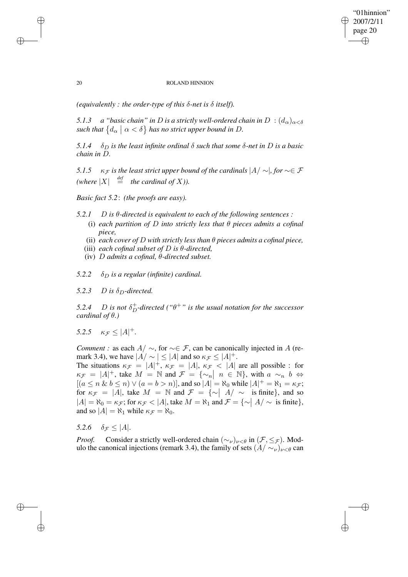✐

## 20 ROLAND HINNION

*(equivalently : the order-type of this*  $\delta$ *-net is*  $\delta$  *itself).* 

*5.1.3 a "basic chain" in D is a strictly well-ordered chain in*  $D$  :  $(d_{\alpha})_{\alpha < \delta}$  $\int d\alpha \, d\alpha \, d\alpha$   $\int d\alpha < \delta$  *a has no strict upper bound in D.* 

*5.1.4*  $\delta_D$  *is the least infinite ordinal*  $\delta$  *such that some*  $\delta$ -*net in*  $D$  *is a basic chain in* D*.*

*5.1.5*  $\kappa_F$  *is the least strict upper bound of the cardinals*  $|A| \sim |$ *, for*  $\sim \in \mathcal{F}$ *(where*  $|X| \stackrel{def}{=}$  *the cardinal of* X*)*.

*Basic fact 5.2*: *(the proofs are easy).*

- *5.2.1* D *is* θ*-directed is equivalent to each of the following sentences :*
	- (i) *each partition of* D *into strictly less that*  $\theta$  *pieces admits a cofinal piece,*
	- (ii) *each cover of* D *with strictly less than* θ *pieces admits a cofinal piece,*
	- (iii) *each cofinal subset of* D *is* θ*-directed,*
	- (iv) D *admits a cofinal,* θ*-directed subset.*
- $5.2.2 \quad \delta_D$  *is a regular (infinite) cardinal.*
- 5.2.3 D is  $\delta_D$ -directed.

5.2.4 *D is not*  $\delta_D^+$ -directed (" $\theta^+$ " *is the usual notation for the successor cardinal of* θ*.)*

*5.2.5*  $\kappa_{\mathcal{F}} \leq |A|^+$ .

*Comment* : as each  $A / \sim$ , for  $\sim \in \mathcal{F}$ , can be canonically injected in A (remark 3.4), we have  $|A/\sim| \leq |A|$  and so  $\kappa_{\mathcal{F}} \leq |A|^+$ .

The situations  $\kappa_{\mathcal{F}} = |A|^+, \kappa_{\mathcal{F}} = |A|, \kappa_{\mathcal{F}} < |A|$  are all possible : for  $\kappa_{\mathcal{F}} = |A|^+$ , take  $M = \mathbb{N}$  and  $\mathcal{F} = {\sim_n | n \in \mathbb{N}}$ , with  $a \sim_n b \Leftrightarrow$  $[(a \le n \& b \le n) \vee (a = b > n)],$  and so  $|A| = \aleph_0$  while  $|A|^+ = \aleph_1 = \kappa_{\mathcal{F}};$ for  $\kappa_{\mathcal{F}} = |A|$ , take  $M = \mathbb{N}$  and  $\mathcal{F} = {\sim |A| \sim \text{is finite}}$ , and so  $|A| = \aleph_0 = \kappa_{\mathcal{F}}$ ; for  $\kappa_{\mathcal{F}} < |A|$ , take  $M = \aleph_1$  and  $\mathcal{F} = \{ \sim |A| \sim \text{is finite} \},$ and so  $|A| = \aleph_1$  while  $\kappa_{\mathcal{F}} = \aleph_0$ .

*5.2.6*  $\delta_{\mathcal{F}} \leq |A|$ .

*Proof.* Consider a strictly well-ordered chain  $(\sim_{\nu})_{\nu \leq \theta}$  in  $(\mathcal{F}, \leq_{\mathcal{F}})$ . Modulo the canonical injections (remark 3.4), the family of sets  $(A/\sim_{\nu})_{\nu<\theta}$  can

✐

✐

✐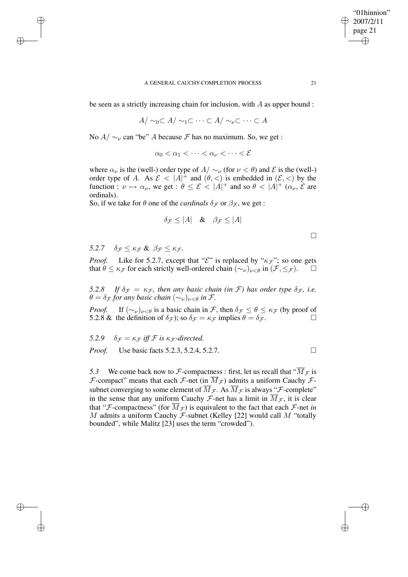be seen as a strictly increasing chain for inclusion, with  $A$  as upper bound :

 $A/\sim_0\subset A/\sim_1\subset\cdots\subset A/\sim_\nu\subset\cdots\subset A$ 

No  $A/\sim_{\nu}$  can "be" A because F has no maximum. So, we get :

 $\alpha_0 < \alpha_1 < \cdots < \alpha_{\nu} < \cdots < \mathcal{E}$ 

where  $\alpha_{\nu}$  is the (well-) order type of  $A/\sim_{\nu}$  (for  $\nu < \theta$ ) and  $\mathcal E$  is the (well-) order type of A. As  $\mathcal{E} < |A|^{\dagger}$  and  $(\theta, <)$  is embedded in  $(\mathcal{E}, <)$  by the function :  $\nu \mapsto \alpha_{\nu}$ , we get :  $\theta \leq \mathcal{E} < |A|^{+}$  and so  $\theta < |A|^{+}$  ( $\alpha_{\nu}$ ,  $\mathcal{E}$  are ordinals).

So, if we take for  $\theta$  one of the *cardinals*  $\delta_{\mathcal{F}}$  or  $\beta_{\mathcal{F}}$ , we get :

$$
\delta_{\mathcal{F}} \le |A| \quad \& \quad \beta_{\mathcal{F}} \le |A|
$$

| __ |  |
|----|--|
|    |  |
|    |  |
|    |  |

5.2.7  $\delta_F \leq \kappa_F \& \beta_F \leq \kappa_F$ .

✐

✐

✐

✐

*Proof.* Like for 5.2.7, except that " $\mathcal{E}$ " is replaced by " $\kappa_F$ "; so one gets that  $\theta \leq \kappa_{\mathcal{F}}$  for each strictly well-ordered chain  $(\sim_{\nu})_{\nu < \theta}$  in  $(\mathcal{F}, \leq_{\mathcal{F}})$ .

*5.2.8 If*  $\delta_{\mathcal{F}} = \kappa_{\mathcal{F}}$ , *then any basic chain (in F) has order type*  $\delta_{\mathcal{F}}$ , *i.e.*  $\theta = \delta_{\mathcal{F}}$  *for any basic chain*  $(\sim_{\nu})_{\nu \leq \theta}$  *in F.* 

*Proof.* If  $(\sim_{\nu})_{\nu<\theta}$  is a basic chain in F, then  $\delta_{\mathcal{F}} \leq \theta \leq \kappa_{\mathcal{F}}$  (by proof of 5.2.8 & the definition of  $\delta_{\mathcal{F}}$ ); so  $\delta_{\mathcal{F}} = \kappa_{\mathcal{F}}$  implies  $\theta = \delta_{\mathcal{F}}$ .

*5.2.9*  $\delta \tau = \kappa \tau$  *iff*  $\mathcal F$  *is*  $\kappa \tau$ *-directed. Proof.* Use basic facts 5.2.3, 5.2.4, 5.2.7. □

*5.3* We come back now to F-compactness : first, let us recall that " $\overline{M}_{\mathcal{F}}$  is F-compact" means that each F-net (in  $\overline{M}_{\mathcal{F}}$ ) admits a uniform Cauchy Fsubnet converging to some element of  $\overline{M}_{\mathcal{F}}$ . As  $\overline{M}_{\mathcal{F}}$  is always "*F*-complete" in the sense that any uniform Cauchy  $\mathcal{F}\text{-net}$  has a limit in  $\overline{M}_{\mathcal{F}}$ , it is clear that "*F*-compactness" (for  $\overline{M}_{\mathcal{F}}$ ) is equivalent to the fact that each *F*-net *in* M admits a uniform Cauchy  $\mathcal F$ -subnet (Kelley [22] would call M "totally bounded", while Malitz [23] uses the term "crowded").

"01hinnion" 2007/2/11 page 21

✐

✐

✐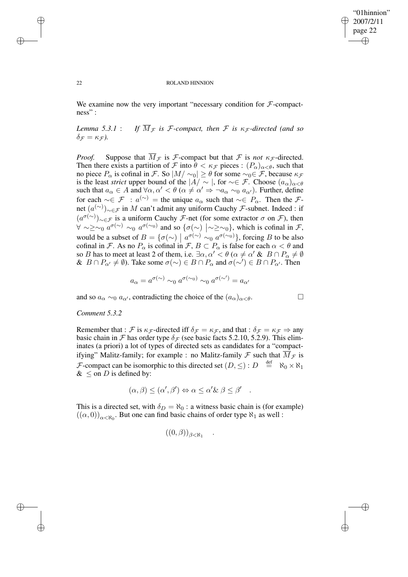# "01hinnion" 2007/2/11 page 22 ✐ ✐

✐

✐

#### 22 ROLAND HINNION

We examine now the very important "necessary condition for  $\mathcal{F}$ -compactness" :

*Lemma* 5.3.1 : *If*  $\overline{M}_{\mathcal{F}}$  *is F*-compact, then *F is*  $\kappa_{\mathcal{F}}$ -directed (and so  $\delta_{\mathcal{F}} = \kappa_{\mathcal{F}}$ ).

*Proof.* Suppose that  $\overline{M}_{\mathcal{F}}$  is  $\mathcal{F}$ -compact but that  $\mathcal{F}$  is *not*  $\kappa_{\mathcal{F}}$ -directed. Then there exists a partition of F into  $\theta < \kappa_F$  pieces :  $(P_\alpha)_{\alpha < \theta}$ , such that no piece  $P_{\alpha}$  is cofinal in F. So  $|M/\sim_0| \ge \theta$  for some  $\sim_0 \in \mathcal{F}$ , because  $\kappa_{\mathcal{F}}$ is the least *strict* upper bound of the  $|A| \sim |$ , for  $\sim \in \mathcal{F}$ . Choose  $(a_{\alpha})_{\alpha < \theta}$ such that  $a_{\alpha} \in A$  and  $\forall \alpha, \alpha' < \theta$  ( $\alpha \neq \alpha' \Rightarrow \neg a_{\alpha} \sim_0 a_{\alpha'}$ ). Further, define for each  $\sim \in \mathcal{F}$ :  $a^{(\sim)}$  = the unique  $a_{\alpha}$  such that  $\sim \in P_{\alpha}$ . Then the  $\mathcal{F}$ net  $(a^{(\sim)})_{\sim \in \mathcal{F}}$  in M can't admit any uniform Cauchy F-subnet. Indeed : if  $(a^{\sigma(\sim)})_{\sim \in \mathcal{F}}$  is a uniform Cauchy *F*-net (for some extractor  $\sigma$  on *F*), then  $\forall \sim \geq \sim_0 a^{\sigma(\sim)} \sim_0 a^{\sigma(\sim)}$  and so  $\{\sigma(\sim) \mid \sim \geq \sim_0\}$ , which is cofinal in F, would be a subset of  $B = {\sigma(\sim) \mid a^{\sigma(\sim)} \sim_0 a^{\sigma(\sim)} }$ , forcing B to be also cofinal in F. As no  $P_{\alpha}$  is cofinal in F,  $B \subset P_{\alpha}$  is false for each  $\alpha < \theta$  and so B has to meet at least 2 of them, i.e.  $\exists \alpha, \alpha' < \theta \ (\alpha \neq \alpha' \ \& \ B \cap P_{\alpha} \neq \emptyset$ &  $B \cap P_{\alpha'} \neq \emptyset$ ). Take some  $\sigma(\sim) \in B \cap P_{\alpha}$  and  $\sigma(\sim') \in B \cap P_{\alpha'}$ . Then

$$
a_{\alpha} = a^{\sigma(\sim)} \sim_0 a^{\sigma(\sim_0)} \sim_0 a^{\sigma(\sim')} = a_{\alpha'}
$$

and so  $a_{\alpha} \sim_0 a_{\alpha'}$ , contradicting the choice of the  $(a_{\alpha})_{\alpha < \theta}$ .

# *Comment 5.3.2*

Remember that : F is  $\kappa_{\mathcal{F}}$ -directed iff  $\delta_{\mathcal{F}} = \kappa_{\mathcal{F}}$ , and that :  $\delta_{\mathcal{F}} = \kappa_{\mathcal{F}} \Rightarrow$  any basic chain in F has order type  $\delta_F$  (see basic facts 5.2.10, 5.2.9). This eliminates (a priori) a lot of types of directed sets as candidates for a "compactifying" Malitz-family; for example : no Malitz-family  $\mathcal F$  such that  $M_{\mathcal F}$  is F-compact can be isomorphic to this directed set  $(D, \leq): D \stackrel{\text{def}}{=} \aleph_0 \times \aleph_1$  $\& \leq$  on *D* is defined by:

$$
(\alpha, \beta) \leq (\alpha', \beta') \Leftrightarrow \alpha \leq \alpha' \& \beta \leq \beta' .
$$

This is a directed set, with  $\delta_D = \aleph_0$ : a witness basic chain is (for example)  $((\alpha, 0))_{\alpha < \aleph_0}$ . But one can find basic chains of order type  $\aleph_1$  as well :

$$
((0,\beta))_{\beta<\aleph_1}
$$

.

 $\rightarrow$ 

 $\rightarrow$ 

✐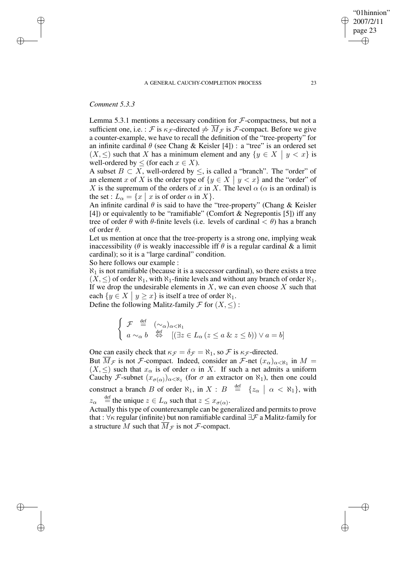*Comment 5.3.3*

 $\rightarrow$ 

 $\rightarrow$ 

✐

✐

Lemma 5.3.1 mentions a necessary condition for  $\mathcal F$ -compactness, but not a sufficient one, i.e. : F is  $\kappa_{\mathcal{F}}$ -directed  $\neq \overline{M}_{\mathcal{F}}$  is F-compact. Before we give a counter-example, we have to recall the definition of the "tree-property" for an infinite cardinal  $\theta$  (see Chang & Keisler [4]) : a "tree" is an ordered set  $(X, \leq)$  such that X has a minimum element and any  $\{y \in X \mid y < x\}$  is well ordered by  $\leq$  (for each  $x \in Y$ ) well-ordered by  $\leq$  (for each  $x \in X$ ).

A subset  $B \subset X$ , well-ordered by  $\leq$ , is called a "branch". The "order" of an element x of X is the order type of  $\{y \in X \mid y < x\}$  and the "order" of X is the summary of the endorse of y in X. The land s (s is an endingly is X is the supremum of the orders of x in X. The level  $\alpha$  ( $\alpha$  is an ordinal) is the set :  $L_{\alpha} = \{x \mid x \text{ is of order } \alpha \text{ in } X\}.$ 

An infinite cardinal  $\theta$  is said to have the "tree-property" (Chang & Keisler [4]) or equivalently to be "ramifiable" (Comfort  $\&$  Negrepontis [5]) iff any tree of order  $\theta$  with  $\theta$ -finite levels (i.e. levels of cardinal  $\langle \theta \rangle$ ) has a branch of order  $\theta$ .

Let us mention at once that the tree-property is a strong one, implying weak inaccessibility ( $\theta$  is weakly inaccessible iff  $\theta$  is a regular cardinal  $\&$  a limit cardinal); so it is a "large cardinal" condition.

So here follows our example :

 $\aleph_1$  is not ramifiable (because it is a successor cardinal), so there exists a tree  $(X, \leq)$  of order  $\aleph_1$ , with  $\aleph_1$ -finite levels and without any branch of order  $\aleph_1$ . If we drop the undesirable elements in  $X$ , we can even choose  $X$  such that each  $\{y \in X \mid y \geq x\}$  is itself a tree of order  $\aleph_1$ .

Define the following Malitz-family  $\mathcal F$  for  $(X, \leq)$ :

$$
\begin{cases}\n\mathcal{F} \stackrel{\text{def}}{=} (\sim_{\alpha})_{\alpha < \aleph_1} \\
a \sim_{\alpha} b \stackrel{\text{def}}{\Leftrightarrow} [(\exists z \in L_{\alpha} (z \le a \& z \le b)) \vee a = b]\n\end{cases}
$$

One can easily check that  $\kappa_{\mathcal{F}} = \delta_{\mathcal{F}} = \aleph_1$ , so  $\mathcal{F}$  is  $\kappa_{\mathcal{F}}$ -directed. But  $M_{\mathcal{F}}$  is not  $\mathcal{F}$ -compact. Indeed, consider an  $\mathcal{F}$ -net  $(x_{\alpha})_{\alpha<\aleph_1}$  in  $M=$  $(X, \leq)$  such that  $x_{\alpha}$  is of order  $\alpha$  in X. If such a net admits a uniform Cauchy F-subnet  $(x_{\sigma(\alpha)})_{\alpha<\aleph_1}$  (for  $\sigma$  an extractor on  $\aleph_1$ ), then one could construct a branch B of order  $\aleph_1$ , in  $X : B \stackrel{\text{def}}{=} \{z_\alpha \mid \alpha < \aleph_1\}$ , with  $z_{\alpha} \stackrel{\text{def}}{=}$  the unique  $z \in L_{\alpha}$  such that  $z \leq x_{\sigma(\alpha)}$ .

Actually this type of counterexample can be generalized and permits to prove that :  $\forall \kappa$  regular (infinite) but non ramifiable cardinal  $\exists \mathcal{F}$  a Malitz-family for a structure M such that  $\overline{M}_{\mathcal{F}}$  is not  $\mathcal{F}$ -compact.

"01hinnion" 2007/2/11 page 23

✐

✐

✐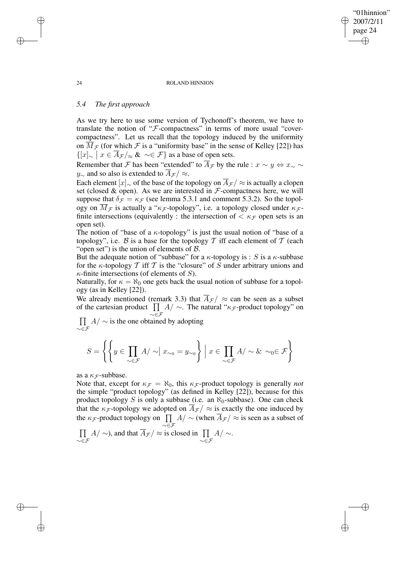#### 24 ROLAND HINNION

# *5.4 The first approach*

As we try here to use some version of Tychonoff's theorem, we have to translate the notion of "F-compactness" in terms of more usual "covercompactness". Let us recall that the topology induced by the uniformity on  $\overline{M}_{\mathcal{F}}$  (for which  $\mathcal F$  is a "uniformity base" in the sense of Kelley [22]) has  $\{ [x]_{\sim} \mid x \in \overline{A}_{\mathcal{F}} / \approx \& \sim \in \mathcal{F} \}$  as a base of open sets.

Remember that F has been "extended" to  $\overline{A}_{\mathcal{F}}$  by the rule :  $x \sim y \Leftrightarrow x_{\sim} \sim$ y<sub>∼</sub> and so also is extended to  $\overline{A}_{\mathcal{F}}$  /  $\approx$ .

Each element  $[x]_{\sim}$  of the base of the topology on  $\overline{A}_{\mathcal{F}}/\approx$  is actually a clopen set (closed  $\&$  open). As we are interested in  $F$ -compactness here, we will suppose that  $\delta_F = \kappa_F$  (see lemma 5.3.1 and comment 5.3.2). So the topology on  $\overline{M}_{\mathcal{F}}$  is actually a " $\kappa_{\mathcal{F}}$ -topology", i.e. a topology closed under  $\kappa_{\mathcal{F}}$ finite intersections (equivalently : the intersection of  $\langle \kappa_F \rangle$  open sets is an open set).

The notion of "base of a  $\kappa$ -topology" is just the usual notion of "base of a topology", i.e. B is a base for the topology T iff each element of T (each "open set") is the union of elements of  $\beta$ .

But the adequate notion of "subbase" for a  $\kappa$ -topology is : S is a  $\kappa$ -subbase for the  $\kappa$ -topology  $\mathcal T$  iff  $\mathcal T$  is the "closure" of  $S$  under arbitrary unions and  $\kappa$ -finite intersections (of elements of S).

Naturally, for  $\kappa = \aleph_0$  one gets back the usual notion of subbase for a topology (as in Kelley [22]).

We already mentioned (remark 3.3) that  $\overline{A}_{\mathcal{F}}$  /  $\approx$  can be seen as a subset of the cartesian product  $\prod$  $\prod_{\gamma \in \mathcal{F}} A/\sim$ . The natural " $\kappa_{\mathcal{F}}$ -product topology" on

 $\prod$  $\prod_{\substack{\sim \in \mathcal{F}}} A/\sim$  is the one obtained by adopting

$$
S = \left\{ \left\{ y \in \prod_{\sim \in \mathcal{F}} A / \sim \mid x_{\sim_0} = y_{\sim_0} \right\} \; \middle| \; x \in \prod_{\sim \in \mathcal{F}} A / \sim \& \sim_0 \in \mathcal{F} \right\}
$$

as a  $\kappa_F$ -subbase.

Note that, except for  $\kappa_F = \aleph_0$ , this  $\kappa_F$ -product topology is generally *not* the simple "product topology" (as defined in Kelley [22]), because for this product topology S is only a subbase (i.e. an  $\aleph_0$ -subbase). One can check that the  $\kappa_{\mathcal{F}}$ -topology we adopted on  $\overline{A}_{\mathcal{F}}/\approx$  is exactly the one induced by the  $\kappa_{\mathcal{F}}$ -product topology on  $\prod_{\sim \in \mathcal{F}} A/\sim$  (when  $A_{\mathcal{F}}/\approx$  is seen as a subset of  $\prod$  $\prod_{\gamma \in \mathcal{F}} A/\sim$ ), and that  $A_{\mathcal{F}}/\approx$  is closed in  $\prod_{\gamma \in \mathcal{F}} A/\sim$ .

 $\rightarrow$ 

 $\rightarrow$ 

✐

✐

# "01hinnion" 2007/2/11 page 24 ✐ ✐

✐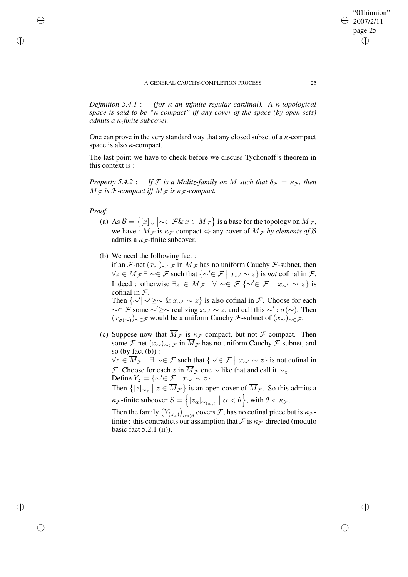*Definition 5.4.1* : *(for* κ *an infinite regular cardinal). A* κ*-topological space is said to be "*κ*-compact" iff any cover of the space (by open sets) admits a* κ*-finite subcover.*

One can prove in the very standard way that any closed subset of a  $\kappa$ -compact space is also  $\kappa$ -compact.

The last point we have to check before we discuss Tychonoff's theorem in this context is :

*Property* 5.4.2 : *If*  $F$  *is a Malitz-family on* M *such that*  $\delta_F = \kappa_F$ , *then*  $\overline{M}_{\mathcal{F}}$  *is*  $\mathcal{F}$ -compact *iff*  $\overline{M}_{\mathcal{F}}$  *is*  $\kappa_{\mathcal{F}}$ -compact.

# *Proof.*

 $\rightarrow$ 

 $\rightarrow$ 

✐

✐

- (a) As  $\mathcal{B} = \left\{ \frac{[x]}{[x]} \sim \in \mathcal{F} \& x \in \overline{M}_{\mathcal{F}} \right\}$  is a base for the topology on  $\overline{M}_{\mathcal{F}}$ , we have :  $\overline{M}_{\mathcal{F}}$  is  $\kappa_{\mathcal{F}}$ -compact  $\Leftrightarrow$  any cover of  $\overline{M}_{\mathcal{F}}$  *by elements of*  $\mathcal{B}$ admits a  $\kappa_{\mathcal{F}}$ -finite subcover.
- (b) We need the following fact :

if an F-net  $(x_{\sim})_{\sim \in \mathcal{F}}$  in  $\overline{M}_{\mathcal{F}}$  has no uniform Cauchy F-subnet, then  $\forall z \in \overline{M}_{\mathcal{F}} \exists \sim \in \mathcal{F}$  such that  $\{\sim' \in \mathcal{F} \mid x_{\sim'} \sim z\}$  is *not* cofinal in  $\mathcal{F}$ . Indeed : otherwise  $\exists z \in \overline{M}_{\mathcal{F}} \quad \forall \sim \in \mathcal{F} \{\sim' \in \mathcal{F} \mid x_{\sim'} \sim z\}$  is cofinal in  $\mathcal{F}$ . Then  $\{\sim\prime\sim\sim\& x_{\sim\prime}\sim z\}$  is also cofinal in *F*. Choose for each  $\sim \in \mathcal{F}$  some  $\sim' \geq \sim$  realizing  $x_{\sim'} \sim z$ , and call this  $\sim' : \sigma(\sim)$ . Then  $(x_{\sigma(\sim)})_{\sim \in \mathcal{F}}$  would be a uniform Cauchy *F*-subnet of  $(x_{\sim})_{\sim \in \mathcal{F}}$ .

(c) Suppose now that  $\overline{M}_{\mathcal{F}}$  is  $\kappa_{\mathcal{F}}$ -compact, but not  $\mathcal{F}$ -compact. Then some F-net  $(x_{\sim})_{\sim \in \mathcal{F}}$  in  $\overline{M}_{\mathcal{F}}$  has no uniform Cauchy F-subnet, and so (by fact  $(b)$ ) :

 $\forall z \in \overline{M}_{\mathcal{F}}$   $\exists \sim \in \mathcal{F}$  such that  $\{\sim' \in \mathcal{F} \mid x_{\sim'} \sim z\}$  is not cofinal in *F*. Choose for each z in  $\overline{M}_{\mathcal{F}}$  one  $\sim$  like that and call it  $\sim_z$ . Define  $Y_z = \{ \sim' \in \mathcal{F} \mid x_{\sim'} \sim z \}.$ 

Then  $\{ [z]_{\sim_z} \mid z \in \overline{M}_{\mathcal{F}} \}$  is an open cover of  $\overline{M}_{\mathcal{F}}$ . So this admits a  $\kappa_{\mathcal{F}}$ -finite subcover  $S = \left\{ [z_{\alpha}]_{\sim_{(z_{\alpha})}} \mid \alpha < \theta \right\}$ , with  $\theta < \kappa_{\mathcal{F}}$ .

Then the family  $(Y_{(z_{\alpha})})_{\alpha < \theta}$  covers  $\mathcal{F}$ , has no cofinal piece but is  $\kappa_{\mathcal{F}}$ finite : this contradicts our assumption that  $\mathcal F$  is  $\kappa_{\mathcal F}$ -directed (modulo basic fact 5.2.1 (ii)).

"01hinnion" 2007/2/11 page 25

✐

✐

✐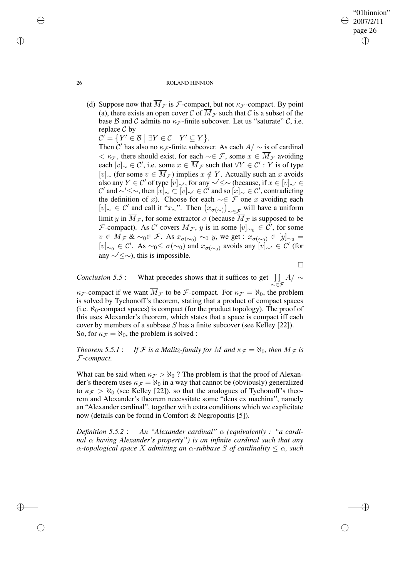✐

### 26 ROLAND HINNION

(d) Suppose now that  $\overline{M}_{\mathcal{F}}$  is  $\mathcal{F}$ -compact, but not  $\kappa_{\mathcal{F}}$ -compact. By point (a), there exists an open cover C of  $\overline{M}_{\mathcal{F}}$  such that C is a subset of the base B and C admits no  $\kappa_{\mathcal{F}}$ -finite subcover. Let us "saturate" C, i.e. replace  $C$  by

 $\mathcal{C}' = \{ Y' \in \mathcal{B} \mid \exists Y \in \mathcal{C} \mid Y' \subseteq Y \}.$ 

Then  $\hat{C}'$  has also no  $\kappa_{\mathcal{F}}$ -finite subcover. As each  $A/\sim$  is of cardinal  $< \kappa_{\mathcal{F}}$ , there should exist, for each  $\sim \in \mathcal{F}$ , some  $x \in \overline{M}_{\mathcal{F}}$  avoiding each  $[v]_{\sim} \in \mathcal{C}'$ , i.e. some  $x \in \overline{M}_{\mathcal{F}}$  such that  $\forall Y \in \mathcal{C}' : Y$  is of type [v]∼ (for some  $v \in \overline{M}_{\mathcal{F}}$ ) implies  $x \notin Y$ . Actually such an x avoids also any  $Y \in \mathcal{C}'$  of type  $[v]_{\sim}$ , for any  $\sim' \leq \sim$  (because, if  $x \in [v]_{\sim} \in$ C' and ~'≤∼, then  $[x]_{\sim} \subset [v]_{\sim'} \in \mathcal{C}'$  and so  $[x]_{\sim} \in \mathcal{C}'$ , contradicting the definition of x). Choose for each  $\sim \in \mathcal{F}$  one x avoiding each  $[v]_\sim \in \mathcal{C}'$  and call it "x∼". Then  $(x_{\sigma(\sim)})_{\sim \in \mathcal{F}}$  will have a uniform limit y in  $\overline{M}_{\mathcal{F}}$ , for some extractor  $\sigma$  (because  $\overline{M}_{\mathcal{F}}$  is supposed to be *F*-compact). As C' covers  $\overline{M}_{\mathcal{F}}$ , y is in some  $[v]_{\sim_0} \in \mathcal{C}'$ , for some  $v \in \overline{M}_{\mathcal{F}}$  &  $\sim_0 \in \mathcal{F}$ . As  $x_{\sigma(\sim_0)} \sim_0 y$ , we get :  $x_{\sigma(\sim_0)} \in [y]_{\sim_0}$  $[v]_{\sim}$  ∈ C'. As  $\sim_0 \leq \sigma(\sim_0)$  and  $x_{\sigma(\sim_0)}$  avoids any  $[v]_{\sim}$  ∈ C' (for any  $\sim' \leq \sim$ ), this is impossible.

 $\Box$ 

*Conclusion* 5.5 : What precedes shows that it suffices to get  $\prod$  $\prod\limits_{\sim\in\mathcal{F}}A/\sim$ 

 $\kappa_{\mathcal{F}}$ -compact if we want  $\overline{M}_{\mathcal{F}}$  to be  $\mathcal{F}$ -compact. For  $\kappa_{\mathcal{F}} = \aleph_0$ , the problem is solved by Tychonoff's theorem, stating that a product of compact spaces (i.e.  $\aleph_0$ -compact spaces) is compact (for the product topology). The proof of this uses Alexander's theorem, which states that a space is compact iff each cover by members of a subbase S has a finite subcover (see Kelley [22]). So, for  $\kappa_{\mathcal{F}} = \aleph_0$ , the problem is solved :

*Theorem* 5.5.1: *If*  $F$  *is a Malitz-family for*  $M$  *and*  $\kappa_F = \aleph_0$ *, then*  $\overline{M}_F$  *is* F*-compact.*

What can be said when  $\kappa_F > \aleph_0$ ? The problem is that the proof of Alexander's theorem uses  $\kappa_{\mathcal{F}} = \aleph_0$  in a way that cannot be (obviously) generalized to  $\kappa_F > \aleph_0$  (see Kelley [22]), so that the analogues of Tychonoff's theorem and Alexander's theorem necessitate some "deus ex machina", namely an "Alexander cardinal", together with extra conditions which we explicitate now (details can be found in Comfort & Negropontis [5]).

*Definition*  $5.5.2$  : An "Alexander *cardinal"*  $\alpha$  *(equivalently : "a cardinal* α *having Alexander's property") is an infinite cardinal such that any* α*-topological space* X *admitting an* α*-subbase* S *of cardinality* ≤ α*, such*

 $\rightarrow$ 

 $\rightarrow$ 

✐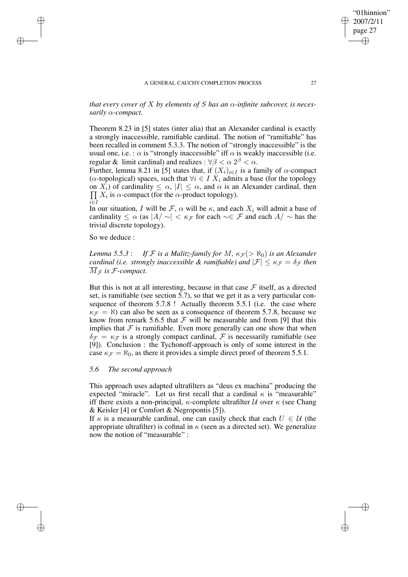"01hinnion" 2007/2/11 page 27

✐

✐

✐

*that every cover of*  $X$  *by elements of*  $S$  *has an*  $\alpha$ *-infinite subcover, is necessarily* α*-compact.*

Theorem 8.23 in [5] states (inter alia) that an Alexander cardinal is exactly a strongly inaccessible, ramifiable cardinal. The notion of "ramifiable" has been recalled in comment 5.3.3. The notion of "strongly inaccessible" is the usual one, i.e. :  $\alpha$  is "strongly inaccessible" iff  $\alpha$  is weakly inaccessible (i.e. regular & limit cardinal) and realizes :  $\forall \beta < \alpha \ 2^{\beta} < \alpha$ .

Further, lemma 8.21 in [5] states that, if  $(X_i)_{i\in I}$  is a family of  $\alpha$ -compact ( $\alpha$ -topological) spaces, such that  $\forall i \in I$   $X_i$  admits a base (for the topology on  $X_i$ ) of cardinality  $\leq \alpha$ ,  $|I| \leq \alpha$ , and  $\alpha$  is an Alexander cardinal, then  $\prod X_i$  is  $\alpha$ -compact (for the  $\alpha$ -product topology). i∈I

In our situation, I will be F,  $\alpha$  will be  $\kappa$ , and each  $X_i$  will admit a base of cardinality  $\leq \alpha$  (as  $|A/\sim| < \kappa_{\mathcal{F}}$  for each  $\sim \in \mathcal{F}$  and each  $A/\sim$  has the trivial discrete topology).

So we deduce :

 $\rightarrow$ 

 $\rightarrow$ 

✐

✐

*Lemma* 5.5.3 : *If*  $F$  *is a Malitz-family for*  $M$ *,*  $\kappa_F$   $(>\aleph_0)$  *is an Alexander cardinal (i.e. strongly inaccessible & ramifiable) and*  $|\mathcal{F}| \leq \kappa_{\mathcal{F}} = \delta_{\mathcal{F}}$  *then*  $\overline{M}_{\mathcal{F}}$  is  $\mathcal{F}$ -compact.

But this is not at all interesting, because in that case  $\mathcal F$  itself, as a directed set, is ramifiable (see section 5.7), so that we get it as a very particular consequence of theorem 5.7.8 ! Actually theorem 5.5.1 (i.e. the case where  $\kappa_F = \aleph$ ) can also be seen as a consequence of theorem 5.7.8, because we know from remark 5.6.5 that  $\mathcal F$  will be measurable and from [9] that this implies that  $F$  is ramifiable. Even more generally can one show that when  $\delta_{\mathcal{F}} = \kappa_{\mathcal{F}}$  is a strongly compact cardinal,  $\mathcal F$  is necessarily ramifiable (see [9]). Conclusion : the Tychonoff-approach is only of some interest in the case  $\kappa_{\mathcal{F}} = \aleph_0$ , as there it provides a simple direct proof of theorem 5.5.1.

# *5.6 The second approach*

This approach uses adapted ultrafilters as "deus ex machina" producing the expected "miracle". Let us first recall that a cardinal  $\kappa$  is "measurable" iff there exists a non-principal,  $\kappa$ -complete ultrafilter  $\mathcal U$  over  $\kappa$  (see Chang & Keisler [4] or Comfort & Negropontis [5]).

If  $\kappa$  is a measurable cardinal, one can easily check that each  $U \in \mathcal{U}$  (the appropriate ultrafilter) is cofinal in  $\kappa$  (seen as a directed set). We generalize now the notion of "measurable" :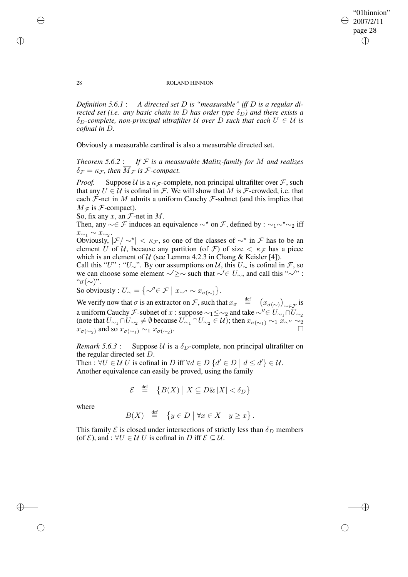"01hinnion" 2007/2/11 page 28 ✐ ✐

✐

✐

#### 28 ROLAND HINNION

*Definition 5.6.1* : *A directed set* D *is "measurable" iff* D *is a regular directed set (i.e. any basic chain in* D *has order type*  $\delta_D$ ) *and there exists a*  $\delta_D$ -complete, non-principal ultrafilter U over D such that each  $U \in U$  is *cofinal in* D*.*

Obviously a measurable cardinal is also a measurable directed set.

*Theorem 5.6.2* : *If* F *is a measurable Malitz-family for* M *and realizes*  $\delta_{\mathcal{F}} = \kappa_{\mathcal{F}}$ , then  $\overline{M}_{\mathcal{F}}$  is *F*-compact.

*Proof.* Suppose U is a  $\kappa_F$ -complete, non principal ultrafilter over F, such that any  $U \in \mathcal{U}$  is cofinal in  $\mathcal{F}$ . We will show that M is  $\mathcal{F}$ -crowded, i.e. that each  $F$ -net in M admits a uniform Cauchy  $F$ -subnet (and this implies that  $\overline{M}_{\mathcal{F}}$  is  $\mathcal{F}$ -compact).

So, fix any  $x$ , an  $\mathcal{F}$ -net in  $M$ .

Then, any  $\sim \in \mathcal{F}$  induces an equivalence  $\sim^*$  on  $\mathcal{F}$ , defined by :  $\sim_1 \sim^* \sim_2$  iff  $x_{\sim_1} \sim x_{\sim_2}$ .

Obviously,  $|\mathcal{F}| \sim^* < \kappa_{\mathcal{F}}$ , so one of the classes of  $\sim^*$  in  $\mathcal{F}$  has to be an element U of U, because any partition (of F) of size  $\lt$   $\kappa_F$  has a piece which is an element of  $U$  (see Lemma 4.2.3 in Chang & Keisler [4]).

Call this "U" : "U∼". By our assumptions on  $U$ , this  $U_{\sim}$  is cofinal in  $\mathcal{F}$ , so we can choose some element  $\sim' \geq \sim$  such that  $\sim' \in U_{\sim}$ , and call this "∼'": " $\sigma(\sim)$ ".

So obviously :  $U_{\sim} = \{ \sim'' \in \mathcal{F} \mid x_{\sim''} \sim x_{\sigma(\sim)} \}.$ 

We verify now that  $\sigma$  is an extractor on  $\mathcal{F}$ , such that  $x_{\sigma} \stackrel{\text{def}}{=} (x_{\sigma(\sim)})_{\sim \in \mathcal{F}}$  is a uniform Cauchy *F*-subnet of x : suppose  $\sim_1 \leq \sim_2$  and take  $\sim'' \in U_{\sim_1} \cap U_{\sim_2}$ (note that  $U_{\sim_1}\cap U_{\sim_2}\neq\emptyset$  because  $U_{\sim_1}\cap U_{\sim_2}\in\mathcal{U}$ ); then  $x_{\sigma(\sim_1)}\sim_1 x_{\sim''}\sim_2$  $x_{\sigma(\sim_2)}$  and so  $x_{\sigma(\sim_1)} \sim_1 x_{\sigma(\sim_2)}$ . . The contract of  $\mathbb{Z}$ 

*Remark* 5.6.3 : Suppose U is a  $\delta_D$ -complete, non principal ultrafilter on the regular directed set D.

Then :  $\forall U \in \mathcal{U} \cup \mathcal{U}$  is cofinal in D iff  $\forall d \in D \{d' \in D \mid d \leq d'\} \in \mathcal{U}$ . Another equivalence can easily be proved, using the family

$$
\mathcal{E} \stackrel{\text{def}}{=} \{ B(X) \mid X \subseteq D\&|X| < \delta_D \}
$$

where

✐

✐

$$
B(X) \stackrel{\text{def}}{=} \{ y \in D \mid \forall x \in X \mid y \geq x \}.
$$

This family  $\mathcal E$  is closed under intersections of strictly less than  $\delta_D$  members (of  $\mathcal{E}$ ), and :  $\forall U \in \mathcal{U}$  U is cofinal in D iff  $\mathcal{E} \subseteq \mathcal{U}$ .

✐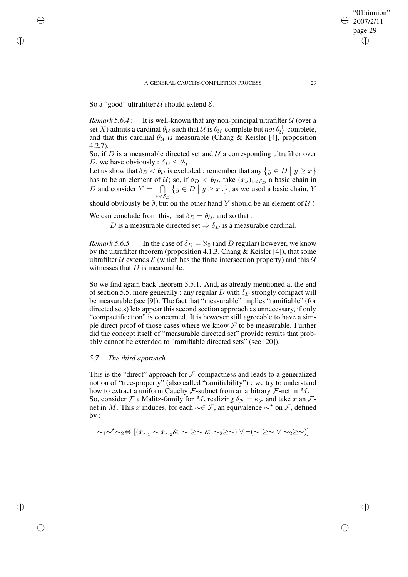So a "good" ultrafilter  $U$  should extend  $E$ .

✐

✐

✐

✐

*Remark*  $5.6.4$ : It is well-known that any non-principal ultrafilter  $U$  (over a set X) admits a cardinal  $\theta_{\mathcal{U}}$  such that  $\mathcal{U}$  is  $\theta_{\mathcal{U}}$ -complete but *not*  $\theta_{\mathcal{U}}^{+}$ -complete, and that this cardinal  $\theta_{\mathcal{U}}$  *is* measurable (Chang & Keisler [4], proposition 4.2.7).

So, if  $D$  is a measurable directed set and  $U$  a corresponding ultrafilter over D, we have obviously :  $\delta_D \leq \theta_{\mathcal{U}}$ .

Let us show that  $\delta_D < \theta_U$  is excluded : remember that any  $\{y \in D \mid y \ge x\}$ has to be an element of U; so, if  $\delta_D < \theta_U$ , take  $(x_{\nu})_{\nu < \delta_D}$  a basic chain in D and consider  $Y = \bigcap$  $\mathit\nu<\delta_D$  $\{y \in D \mid y \geq x_{\nu}\}\;$  as we used a basic chain, Y

should obviously be  $\emptyset$ , but on the other hand Y should be an element of  $\mathcal U$  !

We can conclude from this, that  $\delta_D = \theta_{\mathcal{U}}$ , and so that :

D is a measurable directed set  $\Rightarrow \delta_D$  is a measurable cardinal.

*Remark* 5.6.5 : In the case of  $\delta_D = \aleph_0$  (and D regular) however, we know by the ultrafilter theorem (proposition 4.1.3, Chang & Keisler [4]), that some ultrafilter U extends  $\mathcal E$  (which has the finite intersection property) and this U witnesses that  $D$  is measurable.

So we find again back theorem 5.5.1. And, as already mentioned at the end of section 5.5, more generally : any regular D with  $\delta_D$  strongly compact will be measurable (see [9]). The fact that "measurable" implies "ramifiable" (for directed sets) lets appear this second section approach as unnecessary, if only "compactification" is concerned. It is however still agreeable to have a simple direct proof of those cases where we know  $\mathcal F$  to be measurable. Further did the concept itself of "measurable directed set" provide results that probably cannot be extended to "ramifiable directed sets" (see [20]).

# *5.7 The third approach*

This is the "direct" approach for  $\mathcal F$ -compactness and leads to a generalized notion of "tree-property" (also called "ramifiability") : we try to understand how to extract a uniform Cauchy  $\mathcal F$ -subnet from an arbitrary  $\mathcal F$ -net in  $M$ . So, consider F a Malitz-family for M, realizing  $\delta_{\mathcal{F}} = \kappa_{\mathcal{F}}$  and take x an Fnet in M. This x induces, for each  $\sim \in \mathcal{F}$ , an equivalence  $\sim^*$  on  $\mathcal{F}$ , defined by :

$$
\sim_1\sim^\star\sim_2\ \Leftrightarrow\ [(x_{\sim_1}\sim x_{\sim_2}\ \&\ \sim_1\geq \ \sim \ \&\ \sim_2\geq \ \sim)\ \vee \ \neg (\sim_1\geq \ \sim \ \vee \ \sim_2\geq \ \sim)]
$$

"01hinnion" 2007/2/11 page 29

✐

✐

✐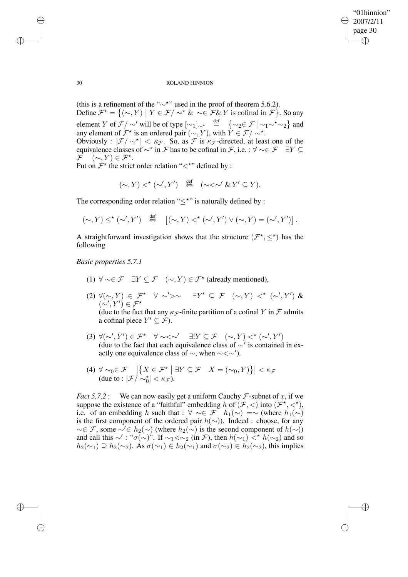✐

## 30 ROLAND HINNION

(this is a refinement of the " $\sim$ \*" used in the proof of theorem 5.6.2). Define  $\mathcal{F}^* = \{ (\sim, Y) \mid Y \in \mathcal{F} / \sim^* \& \sim \in \mathcal{F} \& Y \text{ is cofinal in } \mathcal{F} \}.$  So any element Y of  $\mathcal{F}/\sim'$  will be of type  $[\sim_1]_{\sim \star}$  def  $\{\sim_2 \in \mathcal{F} \mid \sim_1 \sim^{\star} \sim_2\}$  and any element of  $\mathcal{F}^{\star}$  is an ordered pair  $(\sim, Y)$ , with  $\hat{Y} \in \mathcal{F}/\sim^{\star}$ . Obviously :  $|\mathcal{F}/\sim^{\star}| < \kappa_{\mathcal{F}}$ . So, as  $\mathcal{F}$  is  $\kappa_{\mathcal{F}}$ -directed, at least one of the equivalence classes of  $\sim^*$  in F has to be cofinal in F, i.e. :  $\forall \sim \in \mathcal{F}$   $\exists Y \subseteq$  $\mathcal{F} \quad (\sim, Y) \in \mathcal{F}^\star.$ 

Put on  $\mathcal{F}^{\star}$  the strict order relation "<\*" defined by :

 $({\sim}, Y) <^{\star} ({\sim}', Y') \stackrel{\text{def}}{\Leftrightarrow} (\sim < {\sim}' \& Y' \subseteq Y).$ 

The corresponding order relation " $\leq^*$ " is naturally defined by :

$$
(\sim, Y) \leq^{\star} (\sim', Y') \quad \stackrel{\text{def}}{\Leftrightarrow} \quad [(\sim, Y) <^{\star} (\sim', Y') \vee (\sim, Y) = (\sim', Y')].
$$

A straightforward investigation shows that the structure  $(\mathcal{F}^*, \leq^*)$  has the following

*Basic properties 5.7.1*

- (1)  $\forall \sim \in \mathcal{F}$   $\exists Y \subseteq \mathcal{F}$   $(\sim, Y) \in \mathcal{F}^{\star}$  (already mentioned),
- $(2) \ \forall (\sim, Y) \in \mathcal{F}^* \ \ \forall \ \sim' \rightarrow \sim \ \ \exists Y' \subseteq \mathcal{F} \ \ (\sim, Y) \ \lt^* \ (\sim', Y') \ \&$  $(\sim', Y') \in \mathcal{F}^\star$ (due to the fact that any  $\kappa_F$ -finite partition of a cofinal Y in F admits a cofinal piece  $Y' \subseteq \mathcal{F}$ ).
- (3)  $\forall (\sim', Y') \in \mathcal{F}^* \quad \forall \sim < \sim' \quad \exists! Y \subseteq \mathcal{F} \quad (\sim, Y) <^{\star} (\sim', Y')$ (due to the fact that each equivalence class of  $\sim'$  is contained in exactly one equivalence class of  $\sim$ , when  $\sim < \sim'$ ).
- (4)  $\forall \sim_0 \in \mathcal{F} \left| \left\{ X \in \mathcal{F}^\star \mid \exists Y \subseteq \mathcal{F} \mid X = (\sim_0, Y) \right\} \right| < \kappa_{\mathcal{F}}$ <br>(due to :  $|\mathcal{F}/\sim_0^{\star}| < \kappa_{\mathcal{F}}$ ).

*Fact* 5.7.2 : We can now easily get a uniform Cauchy  $\mathcal{F}$ -subnet of x, if we suppose the existence of a "faithful" embedding h of  $(F, \langle)$  into  $(F^*, \langle)$ , i.e. of an embedding h such that :  $\forall \sim \in \mathcal{F}$   $h_1(\sim) = \sim$  (where  $h_1(\sim)$ ) is the first component of the ordered pair  $h(\sim)$ ). Indeed : choose, for any  $\sim \in \mathcal{F}$ , some  $\sim' \in h_2(\sim)$  (where  $h_2(\sim)$  is the second component of  $h(\sim)$ ) and call this  $\sim'$ : " $\sigma(\sim)$ ". If  $\sim_1<\sim_2$  (in *F*), then  $h(\sim_1)$  <  $h(\sim_2)$  and so  $h_2(\sim_1) \supseteq h_2(\sim_2)$ . As  $\sigma(\sim_1) \in h_2(\sim_1)$  and  $\sigma(\sim_2) \in h_2(\sim_2)$ , this implies

✐

✐

✐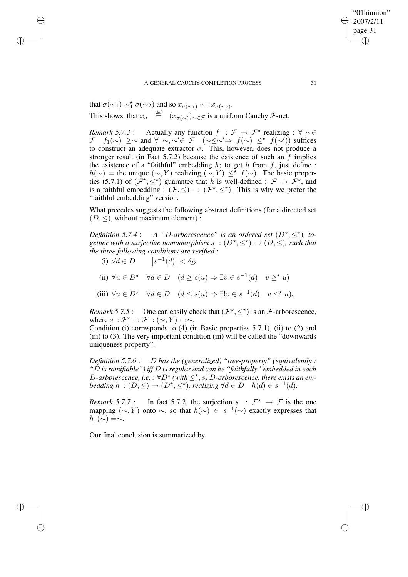## A GENERAL CAUCHY-COMPLETION PROCESS 31

that  $\sigma(\sim_1) \sim_1^{\star} \sigma(\sim_2)$  and so  $x_{\sigma(\sim_1)} \sim_1 x_{\sigma(\sim_2)}$ . This shows, that  $x_{\sigma} \stackrel{\text{def}}{=} (x_{\sigma(\sim)})_{\sim \in \mathcal{F}}$  is a uniform Cauchy  $\mathcal{F}$ -net.

*Remark* 5.7.3 : Actually any function  $f : \mathcal{F} \to \mathcal{F}^{\star}$  realizing :  $\forall \sim \in$  $\mathcal{F}$   $f_1(\sim) \geq \sim$  and  $\forall \sim, \sim \in \mathcal{F}$   $\left(\sim \leq \sim' \Rightarrow f(\sim) \leq^{\star} f(\sim')\right)$  suffices to construct an adequate extractor  $\sigma$ . This, however, does not produce a stronger result (in Fact 5.7.2) because the existence of such an  $f$  implies the existence of a "faithful" embedding  $h$ ; to get  $h$  from  $f$ , just define :  $h(\sim)$  = the unique  $(\sim, Y)$  realizing  $(\sim, Y) \leq^{\star} f(\sim)$ . The basic properties (5.7.1) of  $(\hat{\mathcal{F}}^*, \leq^*)$  guarantee that h is well-defined :  $\mathcal{F} \to \hat{\mathcal{F}}^*$ , and is a faithful embedding :  $(\mathcal{F}, \leq) \rightarrow (\mathcal{F}^*, \leq^*)$ . This is why we prefer the "faithful embedding" version.

What precedes suggests the following abstract definitions (for a directed set  $(D, \leq)$ , without maximum element) :

*Definition* 5.7.4 : A "D-arborescence" is an ordered set  $(D^*, \leq^*)$ , together with a surjective homomorphism  $s$   $:(D^{\star}, \leq^{\star}) \rightarrow (D, \leq)$ , such that *the three following conditions are verified :*

(i)  $\forall d \in D$   $|s^{-1}(d)| < \delta_D$ 

✐

✐

✐

✐

- (ii)  $\forall u \in D^* \quad \forall d \in D \quad (d \ge s(u) \Rightarrow \exists v \in s^{-1}(d) \quad v \ge^* u)$
- (iii)  $\forall u \in D^* \quad \forall d \in D \quad (d \leq s(u) \Rightarrow \exists! v \in s^{-1}(d) \quad v \leq^* u).$

*Remark* 5.7.5 : One can easily check that  $(\mathcal{F}^*, \leq^*)$  is an  $\mathcal{F}$ -arborescence, where  $s : \mathcal{F}^* \to \mathcal{F} : (\sim, Y) \mapsto \sim$ .

Condition (i) corresponds to (4) (in Basic properties 5.7.1), (ii) to (2) and (iii) to (3). The very important condition (iii) will be called the "downwards uniqueness property".

*Definition 5.7.6* : D *has the (generalized) "tree-property" (equivalently : "*D *is ramifiable") iff* D *is regular and can be "faithfully" embedded in each* D-arborescence, *i.e.*  $:\forall D^{\star}$  (with  $\leq^{\star}$ , *s*) D-arborescence, there exists an em*bedding*  $h : (D, \leq) \to (D^{\star}, \leq^{\star})$ , *realizing*  $\forall d \in D$   $h(d) \in s^{-1}(d)$ .

*Remark* 5.7.7 : In fact 5.7.2, the surjection  $s : \mathcal{F}^* \to \mathcal{F}$  is the one mapping  $(\sim, Y)$  onto  $\sim$ , so that  $h(\sim)$  ∈  $s^{-1}(\sim)$  exactly expresses that  $h_1(\sim) = \sim$ .

Our final conclusion is summarized by

"01hinnion" 2007/2/11 page 31

✐

✐

✐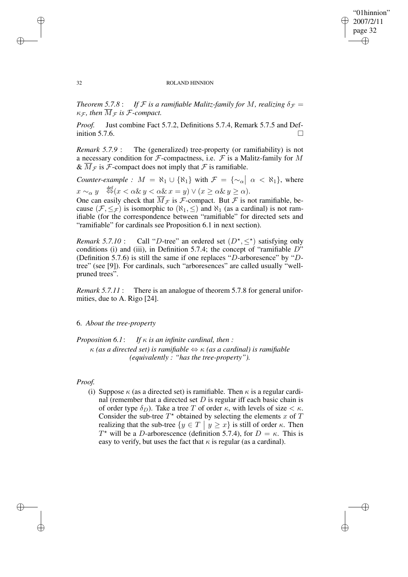# "01hinnion" 2007/2/11 page 32 ✐ ✐

✐

✐

#### 32 ROLAND HINNION

*Theorem* 5.7.8: *If*  $F$  *is a ramifiable Malitz-family for* M, *realizing*  $\delta_F =$  $\kappa_F$ , then  $\overline{M}_F$  is F-compact.

*Proof.* Just combine Fact 5.7.2, Definitions 5.7.4, Remark 5.7.5 and Definition 5.7.6.  $\Box$ 

*Remark* 5.7.9 : The (generalized) tree-property (or ramifiability) is not a necessary condition for  $\mathcal F$ -compactness, i.e.  $\mathcal F$  is a Malitz-family for M &  $\overline{M}_{\mathcal{F}}$  is  $\mathcal{F}$ -compact does not imply that  $\mathcal{F}$  is ramifiable.

*Counter-example* :  $M = \aleph_1 \cup {\aleph_1}$  with  $\mathcal{F} = {\sim_\alpha \mid \alpha < \aleph_1}$ , where  $x \sim_\alpha y \stackrel{\text{def}}{\Leftrightarrow} (x < \alpha \& y < \alpha \& x = y) \vee (x \geq \alpha \& y \geq \alpha).$ 

One can easily check that  $\overline{M}_{\mathcal{F}}$  is  $\mathcal{F}$ -compact. But  $\mathcal{F}$  is not ramifiable, because  $(\mathcal{F}, \leq_{\mathcal{F}})$  is isomorphic to  $(\aleph_1, \leq)$  and  $\aleph_1$  (as a cardinal) is not ramifiable (for the correspondence between "ramifiable" for directed sets and "ramifiable" for cardinals see Proposition 6.1 in next section).

*Remark* 5.7.10 : Call "D-tree" an ordered set  $(D^*, \leq^*)$  satisfying only conditions (i) and (iii), in Definition 5.7.4; the concept of "ramifiable  $D$ " (Definition 5.7.6) is still the same if one replaces "D-arboresence" by "Dtree" (see [9]). For cardinals, such "arboresences" are called usually "wellpruned trees".

*Remark 5.7.11* : There is an analogue of theorem 5.7.8 for general uniformities, due to A. Rigo [24].

# 6. *About the tree-property*

*Proposition 6.1*: *If* κ *is an infinite cardinal, then :* κ *(as a directed set) is ramifiable* ⇔ κ *(as a cardinal) is ramifiable (equivalently : "has the tree-property").*

# *Proof.*

✐

✐

(i) Suppose  $\kappa$  (as a directed set) is ramifiable. Then  $\kappa$  is a regular cardinal (remember that a directed set  $D$  is regular iff each basic chain is of order type  $\delta_D$ ). Take a tree T of order  $\kappa$ , with levels of size  $\lt \kappa$ . Consider the sub-tree  $T^*$  obtained by selecting the elements x of T realizing that the sub-tree  $\{y \in T \mid y \geq x\}$  is still of order  $\kappa$ . Then  $T^*$  will be a *D*-arborescence (definition 5.7.4), for  $D = \kappa$ . This is easy to verify, but uses the fact that  $\kappa$  is regular (as a cardinal).

✐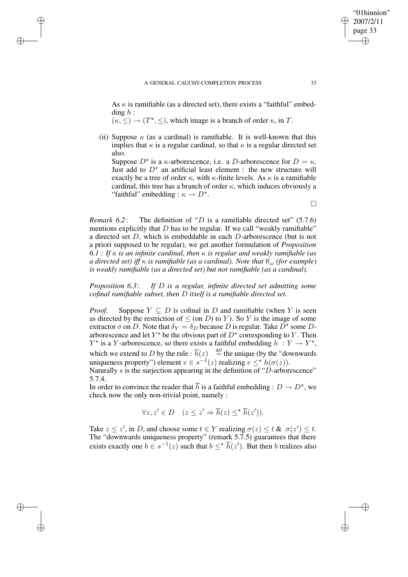✐

✐

✐

As  $\kappa$  is ramifiable (as a directed set), there exists a "faithful" embedding  $h$  :

 $(\kappa, \leq) \to (T^*, \leq)$ , which image is a branch of order  $\kappa$ , in T.

(ii) Suppose  $\kappa$  (as a cardinal) is ramifiable. It is well-known that this implies that  $\kappa$  is a regular cardinal, so that  $\kappa$  is a regular directed set also.

Suppose  $D^*$  is a  $\kappa$ -arborescence, i.e. a D-arborescence for  $D = \kappa$ . Just add to  $D^*$  an artificial least element : the new structure will exactly be a tree of order  $\kappa$ , with  $\kappa$ -finite levels. As  $\kappa$  is a ramifiable cardinal, this tree has a branch of order  $\kappa$ , which induces obviously a "faithful" embedding :  $\kappa \to D^*$ .

*Remark* 6.2: The definition of "*D* is a ramifiable directed set" (5.7.6) mentions explicitly that  $D$  has to be regular. If we call "weakly ramifiable" a directed set D, which is embeddable in each D-arborescence (but is not a priori supposed to be regular), we get another formulation of *Proposition 6.1 : If* κ *is an infinite cardinal, then* κ *is regular and weakly ramifiable (as a directed set*) *iff*  $\kappa$  *is ramifiable* (*as a cardinal*). *Note that*  $\aleph_{\omega}$  (*for example*) *is weakly ramifiable (as a directed set) but not ramifiable (as a cardinal).*

*Proposition 6.3*: *If* D *is a regular, infinite directed set admitting some cofinal ramifiable subset, then* D *itself is a ramifiable directed set.*

*Proof.* Suppose  $Y \subseteq D$  is cofinal in D and ramifiable (when Y is seen as directed by the restriction of  $\leq$  (on D) to Y). So Y is the image of some extractor  $\sigma$  on D. Note that  $\delta_Y = \delta_D$  because D is regular. Take  $\bar{D}^*$  some Darborescence and let  $Y^*$  be the obvious part of  $D^*$  corresponding to Y. Then  $Y^*$  is a Y-arborescence, so there exists a faithful embedding  $h: Y \to Y^*$ , which we extend to D by the rule :  $\overline{h}(z)$   $\stackrel{\text{def}}{=}$  the unique (by the "downwards") uniqueness property") element  $v \in s^{-1}(z)$  realizing  $v \leq^* h(\sigma(z))$ .

Naturally  $s$  is the surjection appearing in the definition of "D-arborescence" 5.7.4.

In order to convince the reader that  $\overline{h}$  is a faithful embedding :  $D \to D^{\star}$ , we check now the only non-trivial point, namely :

$$
\forall z, z' \in D \quad (z \le z' \Rightarrow \overline{h}(z) \le \overline{h}(z')).
$$

Take  $z \leq z'$ , in D, and choose some  $t \in Y$  realizing  $\sigma(z) \leq t$  &  $\sigma(z') \leq t$ . The "downwards uniqueness property" (remark 5.7.5) guarantees that there exists exactly one  $b \in s^{-1}(z)$  such that  $b \leq^* \overline{h}(z')$ . But then b realizes also

 $\Box$ 

"01hinnion" 2007/2/11 page 33

✐

✐

✐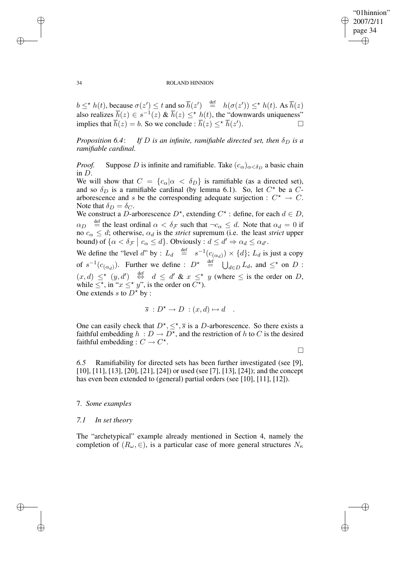✐

## 34 ROLAND HINNION

 $b \leq^* h(t)$ , because  $\sigma(z') \leq t$  and so  $\overline{h}(z') \stackrel{\text{def}}{=} h(\sigma(z')) \leq^* h(t)$ . As  $\overline{h}(z)$ also realizes  $\overline{h}(z) \in s^{-1}(z)$  &  $\overline{h}(z) \leq^* h(t)$ , the "downwards uniqueness" implies that  $\overline{h}(z) = b$ . So we conclude :  $\overline{h}(z) \leq^{\star} \overline{h}(z')$  $\Box$ 

*Proposition* 6.4: *If D is an infinite, ramifiable directed set, then*  $\delta_D$  *is a ramifiable cardinal.*

*Proof.* Suppose D is infinite and ramifiable. Take  $(c_{\alpha})_{\alpha < \delta_D}$  a basic chain in D.

We will show that  $C = \{c_{\alpha} | \alpha < \delta_D\}$  is ramifiable (as a directed set), and so  $\delta_D$  is a ramifiable cardinal (by lemma 6.1). So, let  $C^*$  be a  $C$ arborescence and s be the corresponding adequate surjection :  $C^* \rightarrow C$ . Note that  $\delta_D = \delta_C$ .

We construct a D-arborescence  $D^*$ , extending  $C^*$ : define, for each  $d \in D$ ,  $\alpha_D$   $\stackrel{\text{def}}{=}$  the least ordinal  $\alpha < \delta_{\mathcal{F}}$  such that  $\neg c_{\alpha} \leq d$ . Note that  $\alpha_d = 0$  if no  $c_{\alpha} \leq d$ ; otherwise,  $\alpha_d$  is the *strict* supremum (i.e. the least *strict* upper bound) of  $\{\alpha < \delta_{\mathcal{F}} \mid c_{\alpha} \leq d\}$ . Obviously :  $d \leq d' \Rightarrow \alpha_d \leq \alpha_{d'}$ .

We define the "level d" by :  $L_d$   $\stackrel{\text{def}}{=}$   $s^{-1}(c_{(\alpha_d)}) \times \{d\}$ ;  $L_d$  is just a copy of  $s^{-1}(c_{(\alpha_d)})$ . Further we define :  $D^* \stackrel{\text{def}}{=} \bigcup_{d \in D} L_d$ , and  $\leq^*$  on  $D$  :  $(x, d) \leq^{\star} (y, d') \stackrel{\text{def}}{\Leftrightarrow} d \leq d' \& x \leq^{\star} y$  (where  $\leq$  is the order on D, while  $\leq^*$ , in " $x \leq^* y$ ", is the order on  $C^*$ ). One extends s to  $D^*$  by :

$$
\overline{s}: D^* \to D : (x,d) \mapsto d .
$$

One can easily check that  $D^*, \leq^*, \overline{s}$  is a D-arborescence. So there exists a faithful embedding  $h : D \to D^*$ , and the restriction of h to C is the desired faithful embedding :  $C \rightarrow C^*$ .

 $\Box$ 

*6.5* Ramifiability for directed sets has been further investigated (see [9], [10], [11], [13], [20], [21], [24]) or used (see [7], [13], [24]); and the concept has even been extended to (general) partial orders (see [10], [11], [12]).

# 7. *Some examples*

# *7.1 In set theory*

The "archetypical" example already mentioned in Section 4, namely the completion of  $(R_\omega, \in)$ , is a particular case of more general structures  $N_\kappa$ 

✐

✐

✐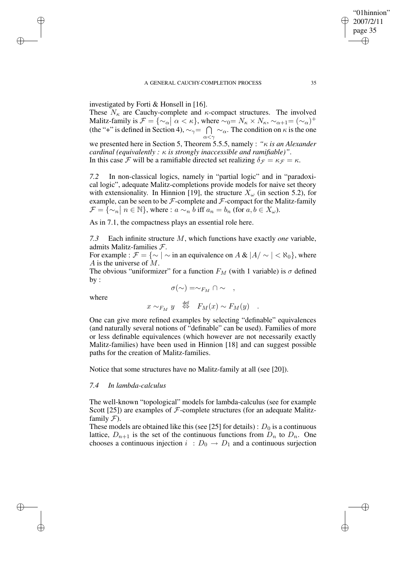## A GENERAL CAUCHY-COMPLETION PROCESS 35

investigated by Forti & Honsell in [16].

These  $N_{\kappa}$  are Cauchy-complete and  $\kappa$ -compact structures. The involved Malitz-family is  $\mathcal{F} = {\infty_\alpha | \alpha < \kappa},$  where  $\sim_0=N_\kappa \times N_\kappa, \sim_{\alpha+1} = (\sim_\alpha)^+$ (the "+" is defined in Section 4),  $\sim_{\gamma} = \cap$  $\bigcap_{\alpha<\gamma}\sim_{\alpha}$ . The condition on  $\kappa$  is the one we presented here in Section 5, Theorem 5.5.5, namely : *"*κ *is an Alexander cardinal (equivalently :* κ *is strongly inaccessible and ramifiable)"*. In this case F will be a ramifiable directed set realizing  $\delta_{\mathcal{F}} = \kappa_{\mathcal{F}} = \kappa$ .

*7.2* In non-classical logics, namely in "partial logic" and in "paradoxical logic", adequate Malitz-completions provide models for naive set theory with extensionality. In Hinnion [19], the structure  $X_{\omega}$  (in section 5.2), for example, can be seen to be  $\mathcal F$ -complete and  $\mathcal F$ -compact for the Malitz-family  $\mathcal{F} = \{ \sim_n \mid n \in \mathbb{N} \},\$  where :  $a \sim_n b$  iff  $a_n = b_n$  (for  $a, b \in X_\omega$ ).

As in 7.1, the compactness plays an essential role here.

*7.3* Each infinite structure M, which functions have exactly *one* variable, admits Malitz-families F.

For example :  $\mathcal{F} = \{ \sim \mid \sim \text{in an equivalence on } A \& |A/\sim \mid \lt \aleph_0 \}$ , where A is the universe of  $M$ .

The obvious "uniformizer" for a function  $F_M$  (with 1 variable) is  $\sigma$  defined by :

where

✐

✐

✐

✐

$$
\sigma(\sim) = \sim_{F_M} \cap \sim ,
$$

 $x \sim_{F_M} y \stackrel{\text{def}}{\Leftrightarrow} F_M(x) \sim F_M(y)$ .

One can give more refined examples by selecting "definable" equivalences (and naturally several notions of "definable" can be used). Families of more or less definable equivalences (which however are not necessarily exactly Malitz-families) have been used in Hinnion [18] and can suggest possible paths for the creation of Malitz-families.

Notice that some structures have no Malitz-family at all (see [20]).

# *7.4 In lambda-calculus*

The well-known "topological" models for lambda-calculus (see for example Scott [25]) are examples of  $F$ -complete structures (for an adequate Malitzfamily  $\mathcal{F}$ ).

These models are obtained like this (see [25] for details) :  $D_0$  is a continuous lattice,  $D_{n+1}$  is the set of the continuous functions from  $D_n$  to  $D_n$ . One chooses a continuous injection  $i : D_0 \to D_1$  and a continuous surjection

"01hinnion" 2007/2/11 page 35

✐

✐

✐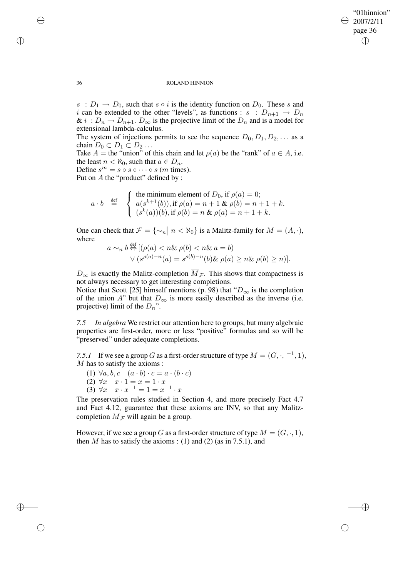✐

### 36 ROLAND HINNION

 $s : D_1 \rightarrow D_0$ , such that  $s \circ i$  is the identity function on  $D_0$ . These s and i can be extended to the other "levels", as functions :  $s : D_{n+1} \to D_n$ &  $i: D_n \to D_{n+1}$ .  $D_{\infty}$  is the projective limit of the  $D_n$  and is a model for extensional lambda-calculus.

The system of injections permits to see the sequence  $D_0, D_1, D_2, \ldots$  as a chain  $D_0 \subset D_1 \subset D_2 \ldots$ 

Take  $A =$  the "union" of this chain and let  $\rho(a)$  be the "rank" of  $a \in A$ , i.e. the least  $n < \aleph_0$ , such that  $a \in D_n$ .

Define  $s^m = s \circ s \circ \cdots \circ s$  (*m* times).

Put on A the "product" defined by :

$$
a \cdot b \stackrel{\text{def}}{=} \begin{cases} \text{the minimum element of } D_0, \text{ if } \rho(a) = 0; \\ a(s^{k+1}(b)), \text{ if } \rho(a) = n+1 \& \rho(b) = n+1+k. \\ (s^k(a))(b), \text{ if } \rho(b) = n \& \rho(a) = n+1+k. \end{cases}
$$

One can check that  $\mathcal{F} = {\lbrace \sim_n \vert n < \aleph_0 \rbrace}$  is a Malitz-family for  $M = (A, \cdot),$ where

$$
a \sim_n b \stackrel{\text{def}}{\Leftrightarrow} [(\rho(a) < n \& \rho(b) < n \& a = b) \\ \lor (s^{\rho(a)-n}(a) = s^{\rho(b)-n}(b) \& \rho(a) \geq n \& \rho(b) \geq n)].
$$

 $D_{\infty}$  is exactly the Malitz-completion  $\overline{M}_{\mathcal{F}}$ . This shows that compactness is not always necessary to get interesting completions.

Notice that Scott [25] himself mentions (p. 98) that " $D_{\infty}$  is the completion of the union A" but that  $D_{\infty}$  is more easily described as the inverse (i.e. projective) limit of the  $D_n$ ".

*7.5 In algebra* We restrict our attention here to groups, but many algebraic properties are first-order, more or less "positive" formulas and so will be "preserved" under adequate completions.

7.5.1 If we see a group G as a first-order structure of type  $M = (G, \cdot, -1, 1)$ , M has to satisfy the axioms :

- (1)  $\forall a, b, c \quad (a \cdot b) \cdot c = a \cdot (b \cdot c)$
- (2)  $\forall x \quad x \cdot 1 = x = 1 \cdot x$
- (3) ∀x  $x \cdot x^{-1} = 1 = x^{-1} \cdot x$

The preservation rules studied in Section 4, and more precisely Fact 4.7 and Fact 4.12, guarantee that these axioms are INV, so that any Malitzcompletion  $\overline{M}_{\mathcal{F}}$  will again be a group.

However, if we see a group G as a first-order structure of type  $M = (G, \cdot, 1)$ , then M has to satisfy the axioms : (1) and (2) (as in 7.5.1), and

✐

✐

✐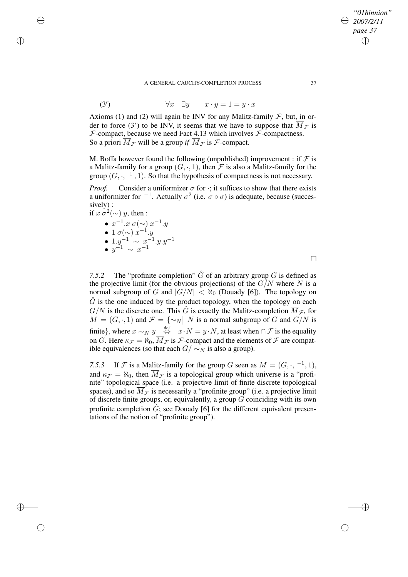# A GENERAL CAUCHY-COMPLETION PROCESS 37

(3') 
$$
\forall x \quad \exists y \qquad x \cdot y = 1 = y \cdot x
$$

Axioms (1) and (2) will again be INV for any Malitz-family  $\mathcal F$ , but, in order to force (3') to be INV, it seems that we have to suppose that  $\overline{M}_{\mathcal{F}}$  is  $F$ -compact, because we need Fact 4.13 which involves  $F$ -compactness. So a priori  $\overline{M}_{\mathcal{F}}$  will be a group *if*  $\overline{M}_{\mathcal{F}}$  is  $\mathcal{F}$ -compact.

M. Boffa however found the following (unpublished) improvement : if  $\mathcal F$  is a Malitz-family for a group  $(G, \cdot, 1)$ , then F is also a Malitz-family for the group  $(G, \cdot, ^{-1}, 1)$ . So that the hypothesis of compactness is not necessary.

*Proof.* Consider a uniformizer  $\sigma$  for  $\cdot$ ; it suffices to show that there exists a uniformizer for  $^{-1}$ . Actually  $\sigma^2$  (i.e.  $\sigma \circ \sigma$ ) is adequate, because (successively) :

if 
$$
x \, \sigma^2(\sim)
$$
 y, then :  
\n•  $x^{-1}.x \, \sigma(\sim) \, x^{-1}.y$   
\n•  $1 \, \sigma(\sim) \, x^{-1}.y$   
\n•  $1. y^{-1} \sim x^{-1}.y. y^{-1}$   
\n•  $y^{-1} \sim x^{-1}$ 

✐

✐

✐

✐

7.5.2 The "profinite completion"  $\hat{G}$  of an arbitrary group  $G$  is defined as the projective limit (for the obvious projections) of the  $G/N$  where N is a normal subgroup of G and  $|G/N| < \aleph_0$  (Douady [6]). The topology on  $G$  is the one induced by the product topology, when the topology on each  $G/N$  is the discrete one. This  $\hat{G}$  is exactly the Malitz-completion  $\overline{M}_{\mathcal{F}}$ , for  $M = (G, \cdot, 1)$  and  $\mathcal{F} = \{\sim_N \mid N \text{ is a normal subgroup of } G \text{ and } G/N \text{ is }$ finite}, where  $x \sim_N y \stackrel{\text{def}}{\Leftrightarrow} x \cdot N = y \cdot N$ , at least when  $\cap \mathcal{F}$  is the equality on G. Here  $\kappa_{\mathcal{F}} = \aleph_0$ ,  $M_{\mathcal{F}}$  is  $\mathcal{F}$ -compact and the elements of  $\mathcal{F}$  are compatible equivalences (so that each  $G / \sim_N N$  is also a group).

7.5.3 If F is a Malitz-family for the group G seen as  $M = (G, \cdot, -1, 1)$ , and  $\kappa_{\mathcal{F}} = \aleph_0$ , then  $\overline{M}_{\mathcal{F}}$  is a topological group which universe is a "profinite" topological space (i.e. a projective limit of finite discrete topological spaces), and so  $\overline{M}_{\mathcal{F}}$  is necessarily a "profinite group" (i.e. a projective limit of discrete finite groups, or, equivalently, a group  $G$  coinciding with its own profinite completion  $\hat{G}$ ; see Douady [6] for the different equivalent presentations of the notion of "profinite group").

*"01hinnion" 2007/2/11 page 37*

✐

✐

✐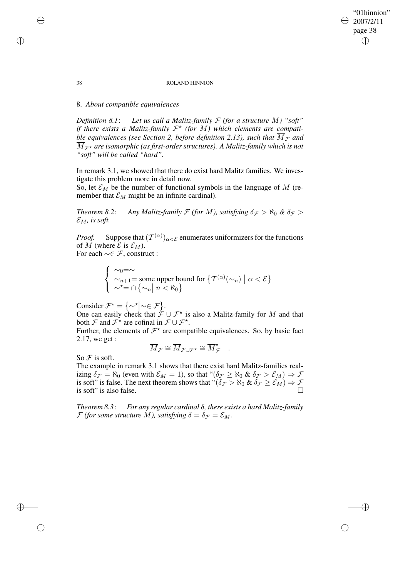#### 38 ROLAND HINNION

"01hinnion" 2007/2/11 page 38

✐

✐

✐

✐

# 8. *About compatible equivalences*

*Definition 8.1*: *Let us call a Malitz-family* F *(for a structure* M*) "soft" if there exists a Malitz-family*  $\mathcal{F}^{\star}$  *(for M)* which *elements are compatible equivalences (see Section 2, before definition 2.13), such that*  $\overline{M}_{\mathcal{F}}$  *and*  $\overline{M}_{\mathcal{F}^{\star}}$  are isomorphic (as first-order structures). A Malitz-family which is not *"soft" will be called "hard".*

In remark 3.1, we showed that there do exist hard Malitz families. We investigate this problem more in detail now.

So, let  $\mathcal{E}_M$  be the number of functional symbols in the language of M (remember that  $\mathcal{E}_M$  might be an infinite cardinal).

*Theorem* 8.2: *Any Malitz-family*  $\mathcal F$  *(for M), satisfying*  $\delta_{\mathcal F} > \aleph_0 \& \delta_{\mathcal F} >$  $\mathcal{E}_M$ , is soft.

*Proof.* Suppose that  $(T^{(\alpha)})_{\alpha < \mathcal{E}}$  enumerates uniformizers for the functions of M (where  $\mathcal E$  is  $\mathcal E_M$ ).

For each  $\sim \in \mathcal{F}$ , construct :

$$
\begin{cases} \sim_0 = \sim \\ \sim_{n+1} = \text{some upper bound for } \{ T^{(\alpha)}(\sim_n) \mid \alpha < \mathcal{E} \} \\ \sim^{\star} = \cap \{ \sim_n \mid n < \aleph_0 \} \end{cases}
$$

Consider  $\mathcal{F}^* = {\sim^*| \sim \in \mathcal{F}}$ .

One can easily check that  $\hat{\mathcal{F}} \cup \mathcal{F}^*$  is also a Malitz-family for M and that both  $\mathcal F$  and  $\mathcal F^*$  are cofinal in  $\mathcal F \cup \mathcal F^*$ .

Further, the elements of  $\mathcal{F}^*$  are compatible equivalences. So, by basic fact 2.17, we get :

$$
\overline{M}_{\mathcal{F}} \cong \overline{M}_{\mathcal{F} \cup \mathcal{F}^{\star}} \cong \overline{M}_{\mathcal{F}}^{\star} .
$$

So  $F$  is soft.

The example in remark 3.1 shows that there exist hard Malitz-families realizing  $\delta_{\mathcal{F}} = \aleph_0$  (even with  $\mathcal{E}_M = 1$ ), so that " $(\delta_{\mathcal{F}} \ge \aleph_0 \& \delta_{\mathcal{F}} > \mathcal{E}_M) \Rightarrow \mathcal{F}$ is soft" is false. The next theorem shows that " $(\delta_{\mathcal{F}} > \aleph_0 \& \delta_{\mathcal{F}} \geq \mathcal{E}_M) \Rightarrow \mathcal{F}$ is soft" is also false.

*Theorem 8.3*: *For any regular cardinal* δ*, there exists a hard Malitz-family F* (for some structure M), satisfying  $\delta = \delta_{\mathcal{F}} = \mathcal{E}_M$ .

✐

✐

✐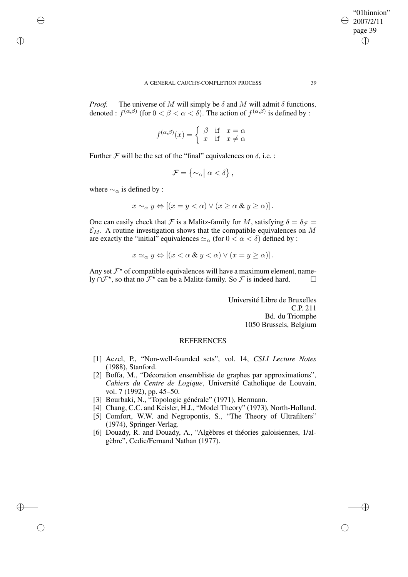*Proof.* The universe of M will simply be  $\delta$  and M will admit  $\delta$  functions, denoted :  $f^{(\alpha,\beta)}$  (for  $0 < \beta < \alpha < \delta$ ). The action of  $f^{(\alpha,\beta)}$  is defined by :

$$
f^{(\alpha,\beta)}(x) = \begin{cases} \beta & \text{if } x = \alpha \\ x & \text{if } x \neq \alpha \end{cases}
$$

Further  $\mathcal F$  will be the set of the "final" equivalences on  $\delta$ , i.e. :

$$
\mathcal{F} = \left\{ \sim_{\alpha} \middle| \alpha < \delta \right\},\
$$

where  $\sim_\alpha$  is defined by :

✐

✐

✐

✐

$$
x \sim_{\alpha} y \Leftrightarrow \left[ (x = y < \alpha) \lor (x \ge \alpha \& y \ge \alpha) \right].
$$

One can easily check that F is a Malitz-family for M, satisfying  $\delta = \delta_{\mathcal{F}} =$  $\mathcal{E}_M$ . A routine investigation shows that the compatible equivalences on M are exactly the "initial" equivalences  $\approx_{\alpha}$  (for  $0 < \alpha < \delta$ ) defined by :

$$
x \simeq_{\alpha} y \Leftrightarrow \left[ (x < \alpha \& y < \alpha) \vee (x = y \ge \alpha) \right].
$$

Any set  $\mathcal{F}^*$  of compatible equivalences will have a maximum element, namely ∩ $\mathcal{F}^{\star}$ , so that no  $\mathcal{F}^{\star}$  can be a Malitz-family. So  $\mathcal{F}$  is indeed hard.  $\Box$ 

> Université Libre de Bruxelles C.P. 211 Bd. du Triomphe 1050 Brussels, Belgium

# **REFERENCES**

- [1] Aczel, P., "Non-well-founded sets", vol. 14, *CSLI Lecture Notes* (1988), Stanford.
- [2] Boffa, M., "Décoration ensembliste de graphes par approximations", *Cahiers du Centre de Logique*, Université Catholique de Louvain, vol. 7 (1992), pp. 45–50.
- [3] Bourbaki, N., "Topologie générale" (1971), Hermann.
- [4] Chang, C.C. and Keisler, H.J., "Model Theory" (1973), North-Holland.
- [5] Comfort, W.W. and Negropontis, S., "The Theory of Ultrafilters" (1974), Springer-Verlag.
- [6] Douady, R. and Douady, A., "Algèbres et théories galoisiennes, 1/algèbre", Cedic/Fernand Nathan (1977).

"01hinnion" 2007/2/11 page 39

✐

✐

✐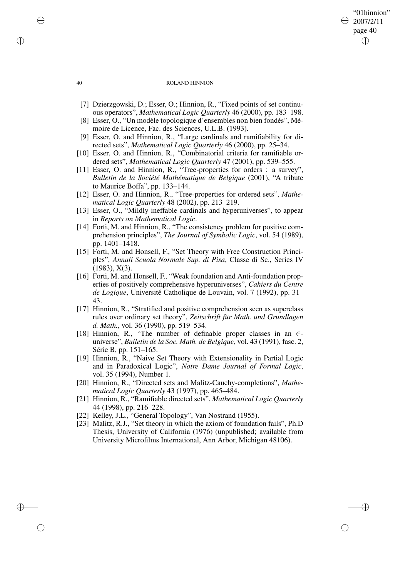#### 40 ROLAND HINNION

"01hinnion" 2007/2/11 page 40

✐

✐

✐

✐

- [7] Dzierzgowski, D.; Esser, O.; Hinnion, R., "Fixed points of set continuous operators", *Mathematical Logic Quarterly* 46 (2000), pp. 183–198.
- [8] Esser, O., "Un modèle topologique d'ensembles non bien fondés", Mémoire de Licence, Fac. des Sciences, U.L.B. (1993).
- [9] Esser, O. and Hinnion, R., "Large cardinals and ramifiability for directed sets", *Mathematical Logic Quarterly* 46 (2000), pp. 25–34.
- [10] Esser, O. and Hinnion, R., "Combinatorial criteria for ramifiable ordered sets", *Mathematical Logic Quarterly* 47 (2001), pp. 539–555.
- [11] Esser, O. and Hinnion, R., "Tree-properties for orders : a survey", *Bulletin de la Société Mathématique de Belgique* (2001), "A tribute to Maurice Boffa", pp. 133–144.
- [12] Esser, O. and Hinnion, R., "Tree-properties for ordered sets", *Mathematical Logic Quarterly* 48 (2002), pp. 213–219.
- [13] Esser, O., "Mildly ineffable cardinals and hyperuniverses", to appear in *Reports on Mathematical Logic*.
- [14] Forti, M. and Hinnion, R., "The consistency problem for positive comprehension principles", *The Journal of Symbolic Logic*, vol. 54 (1989), pp. 1401–1418.
- [15] Forti, M. and Honsell, F., "Set Theory with Free Construction Principles", *Annali Scuola Normale Sup. di Pisa*, Classe di Sc., Series IV (1983), X(3).
- [16] Forti, M. and Honsell, F., "Weak foundation and Anti-foundation properties of positively comprehensive hyperuniverses", *Cahiers du Centre de Logique*, Université Catholique de Louvain, vol. 7 (1992), pp. 31– 43.
- [17] Hinnion, R., "Stratified and positive comprehension seen as superclass rules over ordinary set theory", *Zeitschrift für Math. und Grundlagen d. Math.*, vol. 36 (1990), pp. 519–534.
- [18] Hinnion, R., "The number of definable proper classes in an ∈ universe", *Bulletin de la Soc. Math. de Belgique*, vol. 43 (1991), fasc. 2, Série B, pp. 151–165.
- [19] Hinnion, R., "Naive Set Theory with Extensionality in Partial Logic and in Paradoxical Logic", *Notre Dame Journal of Formal Logic*, vol. 35 (1994), Number 1.
- [20] Hinnion, R., "Directed sets and Malitz-Cauchy-completions", *Mathematical Logic Quarterly* 43 (1997), pp. 465–484.
- [21] Hinnion, R., "Ramifiable directed sets", *Mathematical Logic Quarterly* 44 (1998), pp. 216–228.
- [22] Kelley, J.L., "General Topology", Van Nostrand (1955).
- [23] Malitz, R.J., "Set theory in which the axiom of foundation fails", Ph.D Thesis, University of California (1976) (unpublished; available from University Microfilms International, Ann Arbor, Michigan 48106).

✐

✐

✐